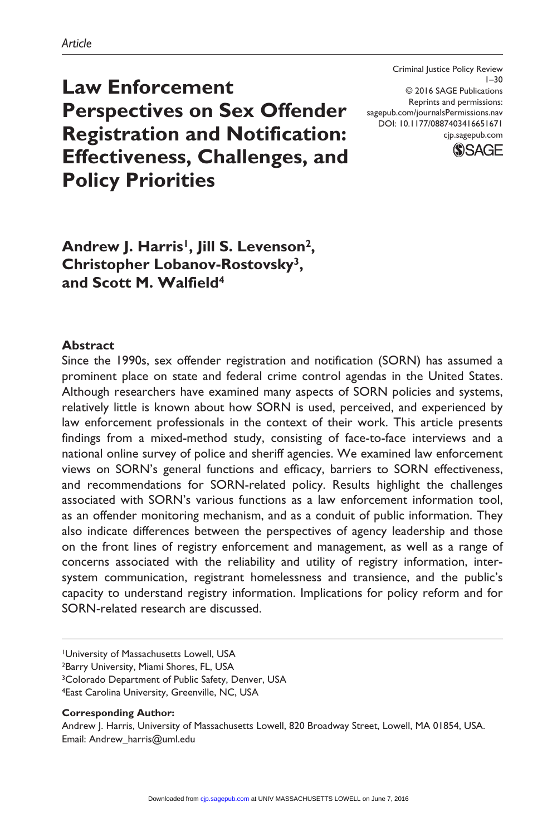**Law Enforcement Perspectives on Sex Offender Registration and Notification: Effectiveness, Challenges, and Policy Priorities**

Criminal Justice Policy Review  $1 - 30$ © 2016 SAGE Publications Reprints and permissions: sagepub.com/journalsPermissions.nav DOI: 10.1177/0887403416651671 cjp.sagepub.com



Andrew J. Harris<sup>1</sup>, Jill S. Levenson<sup>2</sup>, **Christopher Lobanov-Rostovsky3, and Scott M. Walfield4**

#### **Abstract**

Since the 1990s, sex offender registration and notification (SORN) has assumed a prominent place on state and federal crime control agendas in the United States. Although researchers have examined many aspects of SORN policies and systems, relatively little is known about how SORN is used, perceived, and experienced by law enforcement professionals in the context of their work. This article presents findings from a mixed-method study, consisting of face-to-face interviews and a national online survey of police and sheriff agencies. We examined law enforcement views on SORN's general functions and efficacy, barriers to SORN effectiveness, and recommendations for SORN-related policy. Results highlight the challenges associated with SORN's various functions as a law enforcement information tool, as an offender monitoring mechanism, and as a conduit of public information. They also indicate differences between the perspectives of agency leadership and those on the front lines of registry enforcement and management, as well as a range of concerns associated with the reliability and utility of registry information, intersystem communication, registrant homelessness and transience, and the public's capacity to understand registry information. Implications for policy reform and for SORN-related research are discussed.

<sup>3</sup>Colorado Department of Public Safety, Denver, USA

4East Carolina University, Greenville, NC, USA

#### **Corresponding Author:**

Andrew J. Harris, University of Massachusetts Lowell, 820 Broadway Street, Lowell, MA 01854, USA. Email: [Andrew\\_harris@uml.edu](mailto:Andrew_harris@uml.edu)

<sup>1</sup>University of Massachusetts Lowell, USA

<sup>2</sup>Barry University, Miami Shores, FL, USA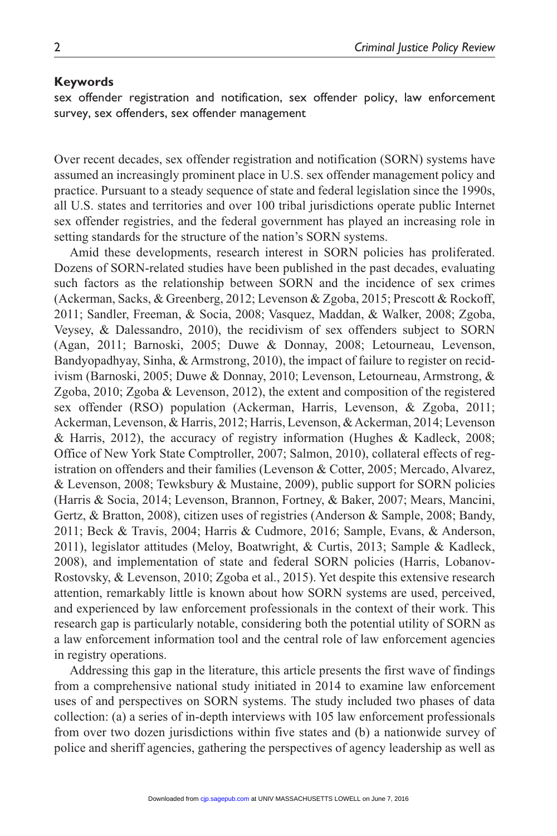#### **Keywords**

sex offender registration and notification, sex offender policy, law enforcement survey, sex offenders, sex offender management

Over recent decades, sex offender registration and notification (SORN) systems have assumed an increasingly prominent place in U.S. sex offender management policy and practice. Pursuant to a steady sequence of state and federal legislation since the 1990s, all U.S. states and territories and over 100 tribal jurisdictions operate public Internet sex offender registries, and the federal government has played an increasing role in setting standards for the structure of the nation's SORN systems.

Amid these developments, research interest in SORN policies has proliferated. Dozens of SORN-related studies have been published in the past decades, evaluating such factors as the relationship between SORN and the incidence of sex crimes (Ackerman, Sacks, & Greenberg, 2012; Levenson & Zgoba, 2015; Prescott & Rockoff, 2011; Sandler, Freeman, & Socia, 2008; Vasquez, Maddan, & Walker, 2008; Zgoba, Veysey, & Dalessandro, 2010), the recidivism of sex offenders subject to SORN (Agan, 2011; Barnoski, 2005; Duwe & Donnay, 2008; Letourneau, Levenson, Bandyopadhyay, Sinha, & Armstrong, 2010), the impact of failure to register on recidivism (Barnoski, 2005; Duwe & Donnay, 2010; Levenson, Letourneau, Armstrong, & Zgoba, 2010; Zgoba & Levenson, 2012), the extent and composition of the registered sex offender (RSO) population (Ackerman, Harris, Levenson, & Zgoba, 2011; Ackerman, Levenson, & Harris, 2012; Harris, Levenson, & Ackerman, 2014; Levenson & Harris, 2012), the accuracy of registry information (Hughes & Kadleck, 2008; Office of New York State Comptroller, 2007; Salmon, 2010), collateral effects of registration on offenders and their families (Levenson & Cotter, 2005; Mercado, Alvarez, & Levenson, 2008; Tewksbury & Mustaine, 2009), public support for SORN policies (Harris & Socia, 2014; Levenson, Brannon, Fortney, & Baker, 2007; Mears, Mancini, Gertz, & Bratton, 2008), citizen uses of registries (Anderson & Sample, 2008; Bandy, 2011; Beck & Travis, 2004; Harris & Cudmore, 2016; Sample, Evans, & Anderson, 2011), legislator attitudes (Meloy, Boatwright, & Curtis, 2013; Sample & Kadleck, 2008), and implementation of state and federal SORN policies (Harris, Lobanov-Rostovsky, & Levenson, 2010; Zgoba et al., 2015). Yet despite this extensive research attention, remarkably little is known about how SORN systems are used, perceived, and experienced by law enforcement professionals in the context of their work. This research gap is particularly notable, considering both the potential utility of SORN as a law enforcement information tool and the central role of law enforcement agencies in registry operations.

Addressing this gap in the literature, this article presents the first wave of findings from a comprehensive national study initiated in 2014 to examine law enforcement uses of and perspectives on SORN systems. The study included two phases of data collection: (a) a series of in-depth interviews with 105 law enforcement professionals from over two dozen jurisdictions within five states and (b) a nationwide survey of police and sheriff agencies, gathering the perspectives of agency leadership as well as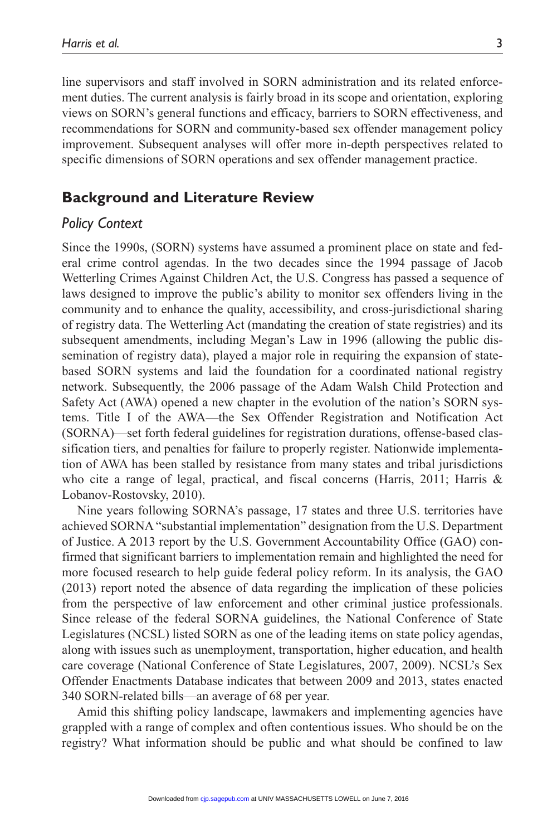line supervisors and staff involved in SORN administration and its related enforcement duties. The current analysis is fairly broad in its scope and orientation, exploring views on SORN's general functions and efficacy, barriers to SORN effectiveness, and recommendations for SORN and community-based sex offender management policy improvement. Subsequent analyses will offer more in-depth perspectives related to specific dimensions of SORN operations and sex offender management practice.

### **Background and Literature Review**

#### *Policy Context*

Since the 1990s, (SORN) systems have assumed a prominent place on state and federal crime control agendas. In the two decades since the 1994 passage of Jacob Wetterling Crimes Against Children Act, the U.S. Congress has passed a sequence of laws designed to improve the public's ability to monitor sex offenders living in the community and to enhance the quality, accessibility, and cross-jurisdictional sharing of registry data. The Wetterling Act (mandating the creation of state registries) and its subsequent amendments, including Megan's Law in 1996 (allowing the public dissemination of registry data), played a major role in requiring the expansion of statebased SORN systems and laid the foundation for a coordinated national registry network. Subsequently, the 2006 passage of the Adam Walsh Child Protection and Safety Act (AWA) opened a new chapter in the evolution of the nation's SORN systems. Title I of the AWA—the Sex Offender Registration and Notification Act (SORNA)—set forth federal guidelines for registration durations, offense-based classification tiers, and penalties for failure to properly register. Nationwide implementation of AWA has been stalled by resistance from many states and tribal jurisdictions who cite a range of legal, practical, and fiscal concerns (Harris, 2011; Harris & Lobanov-Rostovsky, 2010).

Nine years following SORNA's passage, 17 states and three U.S. territories have achieved SORNA "substantial implementation" designation from the U.S. Department of Justice. A 2013 report by the U.S. Government Accountability Office (GAO) confirmed that significant barriers to implementation remain and highlighted the need for more focused research to help guide federal policy reform. In its analysis, the GAO (2013) report noted the absence of data regarding the implication of these policies from the perspective of law enforcement and other criminal justice professionals. Since release of the federal SORNA guidelines, the National Conference of State Legislatures (NCSL) listed SORN as one of the leading items on state policy agendas, along with issues such as unemployment, transportation, higher education, and health care coverage (National Conference of State Legislatures, 2007, 2009). NCSL's Sex Offender Enactments Database indicates that between 2009 and 2013, states enacted 340 SORN-related bills—an average of 68 per year.

Amid this shifting policy landscape, lawmakers and implementing agencies have grappled with a range of complex and often contentious issues. Who should be on the registry? What information should be public and what should be confined to law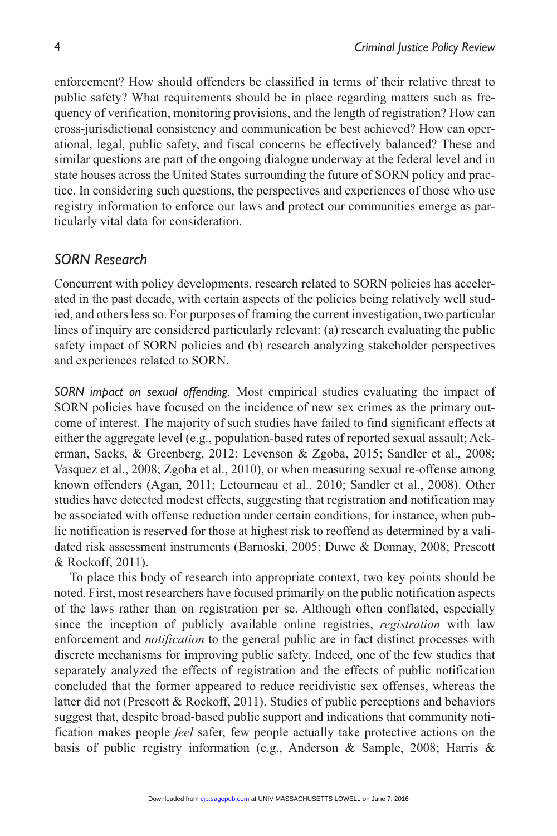enforcement? How should offenders be classified in terms of their relative threat to public safety? What requirements should be in place regarding matters such as frequency of verification, monitoring provisions, and the length of registration? How can cross-jurisdictional consistency and communication be best achieved? How can operational, legal, public safety, and fiscal concerns be effectively balanced? These and similar questions are part of the ongoing dialogue underway at the federal level and in state houses across the United States surrounding the future of SORN policy and practice. In considering such questions, the perspectives and experiences of those who use registry information to enforce our laws and protect our communities emerge as particularly vital data for consideration.

### *SORN Research*

Concurrent with policy developments, research related to SORN policies has accelerated in the past decade, with certain aspects of the policies being relatively well studied, and others less so. For purposes of framing the current investigation, two particular lines of inquiry are considered particularly relevant: (a) research evaluating the public safety impact of SORN policies and (b) research analyzing stakeholder perspectives and experiences related to SORN.

*SORN impact on sexual offending.* Most empirical studies evaluating the impact of SORN policies have focused on the incidence of new sex crimes as the primary outcome of interest. The majority of such studies have failed to find significant effects at either the aggregate level (e.g., population-based rates of reported sexual assault; Ackerman, Sacks, & Greenberg, 2012; Levenson & Zgoba, 2015; Sandler et al., 2008; Vasquez et al., 2008; Zgoba et al., 2010), or when measuring sexual re-offense among known offenders (Agan, 2011; Letourneau et al., 2010; Sandler et al., 2008). Other studies have detected modest effects, suggesting that registration and notification may be associated with offense reduction under certain conditions, for instance, when public notification is reserved for those at highest risk to reoffend as determined by a validated risk assessment instruments (Barnoski, 2005; Duwe & Donnay, 2008; Prescott & Rockoff, 2011).

To place this body of research into appropriate context, two key points should be noted. First, most researchers have focused primarily on the public notification aspects of the laws rather than on registration per se. Although often conflated, especially since the inception of publicly available online registries, *registration* with law enforcement and *notification* to the general public are in fact distinct processes with discrete mechanisms for improving public safety. Indeed, one of the few studies that separately analyzed the effects of registration and the effects of public notification concluded that the former appeared to reduce recidivistic sex offenses, whereas the latter did not (Prescott & Rockoff, 2011). Studies of public perceptions and behaviors suggest that, despite broad-based public support and indications that community notification makes people *feel* safer, few people actually take protective actions on the basis of public registry information (e.g., Anderson & Sample, 2008; Harris &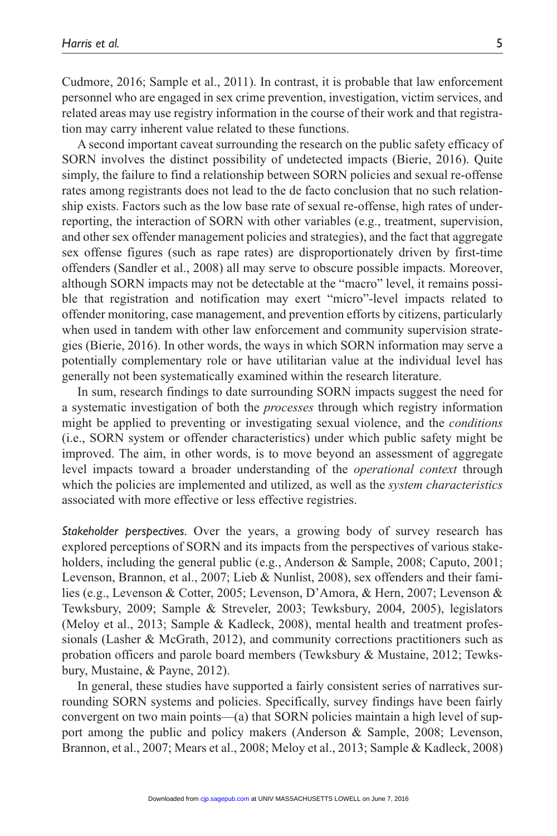Cudmore, 2016; Sample et al., 2011). In contrast, it is probable that law enforcement personnel who are engaged in sex crime prevention, investigation, victim services, and related areas may use registry information in the course of their work and that registration may carry inherent value related to these functions.

A second important caveat surrounding the research on the public safety efficacy of SORN involves the distinct possibility of undetected impacts (Bierie, 2016). Quite simply, the failure to find a relationship between SORN policies and sexual re-offense rates among registrants does not lead to the de facto conclusion that no such relationship exists. Factors such as the low base rate of sexual re-offense, high rates of underreporting, the interaction of SORN with other variables (e.g., treatment, supervision, and other sex offender management policies and strategies), and the fact that aggregate sex offense figures (such as rape rates) are disproportionately driven by first-time offenders (Sandler et al., 2008) all may serve to obscure possible impacts. Moreover, although SORN impacts may not be detectable at the "macro" level, it remains possible that registration and notification may exert "micro"-level impacts related to offender monitoring, case management, and prevention efforts by citizens, particularly when used in tandem with other law enforcement and community supervision strategies (Bierie, 2016). In other words, the ways in which SORN information may serve a potentially complementary role or have utilitarian value at the individual level has generally not been systematically examined within the research literature.

In sum, research findings to date surrounding SORN impacts suggest the need for a systematic investigation of both the *processes* through which registry information might be applied to preventing or investigating sexual violence, and the *conditions* (i.e., SORN system or offender characteristics) under which public safety might be improved. The aim, in other words, is to move beyond an assessment of aggregate level impacts toward a broader understanding of the *operational context* through which the policies are implemented and utilized, as well as the *system characteristics* associated with more effective or less effective registries.

*Stakeholder perspectives.* Over the years, a growing body of survey research has explored perceptions of SORN and its impacts from the perspectives of various stakeholders, including the general public (e.g., Anderson & Sample, 2008; Caputo, 2001; Levenson, Brannon, et al., 2007; Lieb & Nunlist, 2008), sex offenders and their families (e.g., Levenson & Cotter, 2005; Levenson, D'Amora, & Hern, 2007; Levenson & Tewksbury, 2009; Sample & Streveler, 2003; Tewksbury, 2004, 2005), legislators (Meloy et al., 2013; Sample & Kadleck, 2008), mental health and treatment professionals (Lasher & McGrath, 2012), and community corrections practitioners such as probation officers and parole board members (Tewksbury & Mustaine, 2012; Tewksbury, Mustaine, & Payne, 2012).

In general, these studies have supported a fairly consistent series of narratives surrounding SORN systems and policies. Specifically, survey findings have been fairly convergent on two main points—(a) that SORN policies maintain a high level of support among the public and policy makers (Anderson & Sample, 2008; Levenson, Brannon, et al., 2007; Mears et al., 2008; Meloy et al., 2013; Sample & Kadleck, 2008)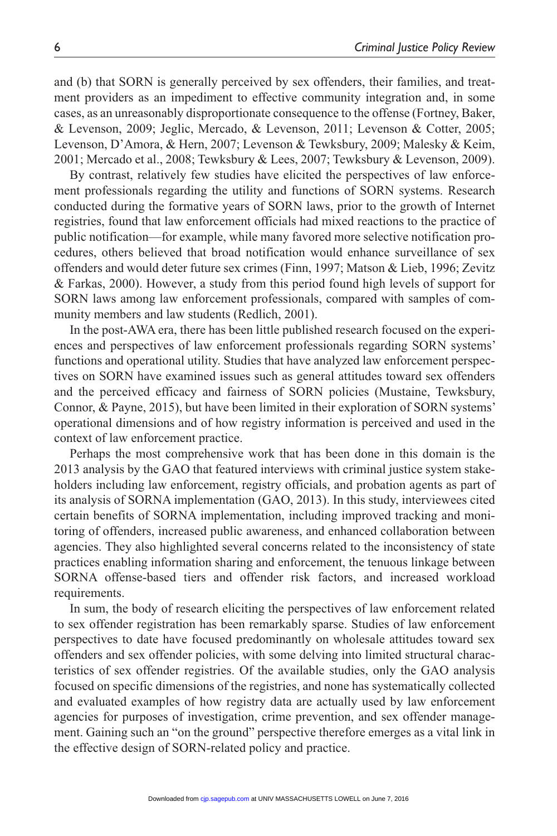and (b) that SORN is generally perceived by sex offenders, their families, and treatment providers as an impediment to effective community integration and, in some cases, as an unreasonably disproportionate consequence to the offense (Fortney, Baker, & Levenson, 2009; Jeglic, Mercado, & Levenson, 2011; Levenson & Cotter, 2005; Levenson, D'Amora, & Hern, 2007; Levenson & Tewksbury, 2009; Malesky & Keim, 2001; Mercado et al., 2008; Tewksbury & Lees, 2007; Tewksbury & Levenson, 2009).

By contrast, relatively few studies have elicited the perspectives of law enforcement professionals regarding the utility and functions of SORN systems. Research conducted during the formative years of SORN laws, prior to the growth of Internet registries, found that law enforcement officials had mixed reactions to the practice of public notification—for example, while many favored more selective notification procedures, others believed that broad notification would enhance surveillance of sex offenders and would deter future sex crimes (Finn, 1997; Matson & Lieb, 1996; Zevitz & Farkas, 2000). However, a study from this period found high levels of support for SORN laws among law enforcement professionals, compared with samples of community members and law students (Redlich, 2001).

In the post-AWA era, there has been little published research focused on the experiences and perspectives of law enforcement professionals regarding SORN systems' functions and operational utility. Studies that have analyzed law enforcement perspectives on SORN have examined issues such as general attitudes toward sex offenders and the perceived efficacy and fairness of SORN policies (Mustaine, Tewksbury, Connor, & Payne, 2015), but have been limited in their exploration of SORN systems' operational dimensions and of how registry information is perceived and used in the context of law enforcement practice.

Perhaps the most comprehensive work that has been done in this domain is the 2013 analysis by the GAO that featured interviews with criminal justice system stakeholders including law enforcement, registry officials, and probation agents as part of its analysis of SORNA implementation (GAO, 2013). In this study, interviewees cited certain benefits of SORNA implementation, including improved tracking and monitoring of offenders, increased public awareness, and enhanced collaboration between agencies. They also highlighted several concerns related to the inconsistency of state practices enabling information sharing and enforcement, the tenuous linkage between SORNA offense-based tiers and offender risk factors, and increased workload requirements.

In sum, the body of research eliciting the perspectives of law enforcement related to sex offender registration has been remarkably sparse. Studies of law enforcement perspectives to date have focused predominantly on wholesale attitudes toward sex offenders and sex offender policies, with some delving into limited structural characteristics of sex offender registries. Of the available studies, only the GAO analysis focused on specific dimensions of the registries, and none has systematically collected and evaluated examples of how registry data are actually used by law enforcement agencies for purposes of investigation, crime prevention, and sex offender management. Gaining such an "on the ground" perspective therefore emerges as a vital link in the effective design of SORN-related policy and practice.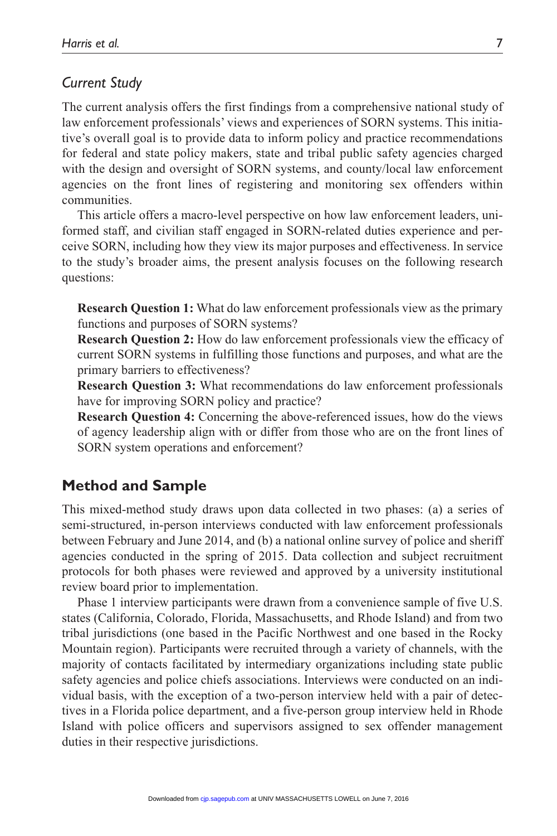### *Current Study*

The current analysis offers the first findings from a comprehensive national study of law enforcement professionals' views and experiences of SORN systems. This initiative's overall goal is to provide data to inform policy and practice recommendations for federal and state policy makers, state and tribal public safety agencies charged with the design and oversight of SORN systems, and county/local law enforcement agencies on the front lines of registering and monitoring sex offenders within communities.

This article offers a macro-level perspective on how law enforcement leaders, uniformed staff, and civilian staff engaged in SORN-related duties experience and perceive SORN, including how they view its major purposes and effectiveness. In service to the study's broader aims, the present analysis focuses on the following research questions:

**Research Question 1:** What do law enforcement professionals view as the primary functions and purposes of SORN systems?

**Research Question 2:** How do law enforcement professionals view the efficacy of current SORN systems in fulfilling those functions and purposes, and what are the primary barriers to effectiveness?

**Research Question 3:** What recommendations do law enforcement professionals have for improving SORN policy and practice?

**Research Question 4:** Concerning the above-referenced issues, how do the views of agency leadership align with or differ from those who are on the front lines of SORN system operations and enforcement?

## **Method and Sample**

This mixed-method study draws upon data collected in two phases: (a) a series of semi-structured, in-person interviews conducted with law enforcement professionals between February and June 2014, and (b) a national online survey of police and sheriff agencies conducted in the spring of 2015. Data collection and subject recruitment protocols for both phases were reviewed and approved by a university institutional review board prior to implementation.

Phase 1 interview participants were drawn from a convenience sample of five U.S. states (California, Colorado, Florida, Massachusetts, and Rhode Island) and from two tribal jurisdictions (one based in the Pacific Northwest and one based in the Rocky Mountain region). Participants were recruited through a variety of channels, with the majority of contacts facilitated by intermediary organizations including state public safety agencies and police chiefs associations. Interviews were conducted on an individual basis, with the exception of a two-person interview held with a pair of detectives in a Florida police department, and a five-person group interview held in Rhode Island with police officers and supervisors assigned to sex offender management duties in their respective jurisdictions.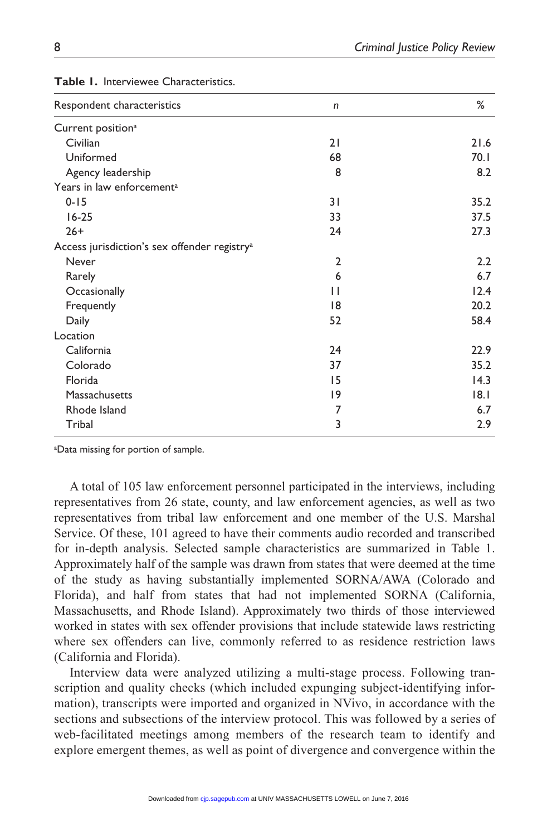| Respondent characteristics                               | $\mathsf{n}$   | %    |
|----------------------------------------------------------|----------------|------|
| Current position <sup>a</sup>                            |                |      |
| Civilian                                                 | 21             | 21.6 |
| Uniformed                                                | 68             | 70.1 |
| Agency leadership                                        | 8              | 8.2  |
| Years in law enforcement <sup>a</sup>                    |                |      |
| $0 - 15$                                                 | 31             | 35.2 |
| $16 - 25$                                                | 33             | 37.5 |
| $26+$                                                    | 24             | 27.3 |
| Access jurisdiction's sex offender registry <sup>a</sup> |                |      |
| Never                                                    | $\overline{2}$ | 2.2  |
| Rarely                                                   | 6              | 6.7  |
| Occasionally                                             | п              | 12.4 |
| Frequently                                               | 18             | 20.2 |
| Daily                                                    | 52             | 58.4 |
| Location                                                 |                |      |
| California                                               | 24             | 22.9 |
| Colorado                                                 | 37             | 35.2 |
| Florida                                                  | 15             | 14.3 |
| Massachusetts                                            | 9              | 8.1  |
| Rhode Island                                             | 7              | 6.7  |
| Tribal                                                   | 3              | 2.9  |

**Table 1.** Interviewee Characteristics.

aData missing for portion of sample.

A total of 105 law enforcement personnel participated in the interviews, including representatives from 26 state, county, and law enforcement agencies, as well as two representatives from tribal law enforcement and one member of the U.S. Marshal Service. Of these, 101 agreed to have their comments audio recorded and transcribed for in-depth analysis. Selected sample characteristics are summarized in Table 1. Approximately half of the sample was drawn from states that were deemed at the time of the study as having substantially implemented SORNA/AWA (Colorado and Florida), and half from states that had not implemented SORNA (California, Massachusetts, and Rhode Island). Approximately two thirds of those interviewed worked in states with sex offender provisions that include statewide laws restricting where sex offenders can live, commonly referred to as residence restriction laws (California and Florida).

Interview data were analyzed utilizing a multi-stage process. Following transcription and quality checks (which included expunging subject-identifying information), transcripts were imported and organized in NVivo, in accordance with the sections and subsections of the interview protocol. This was followed by a series of web-facilitated meetings among members of the research team to identify and explore emergent themes, as well as point of divergence and convergence within the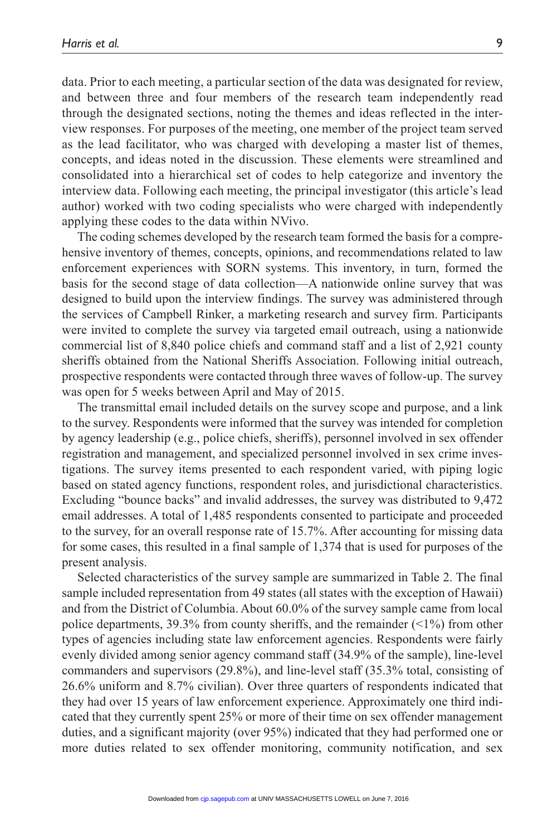data. Prior to each meeting, a particular section of the data was designated for review, and between three and four members of the research team independently read through the designated sections, noting the themes and ideas reflected in the interview responses. For purposes of the meeting, one member of the project team served as the lead facilitator, who was charged with developing a master list of themes, concepts, and ideas noted in the discussion. These elements were streamlined and consolidated into a hierarchical set of codes to help categorize and inventory the interview data. Following each meeting, the principal investigator (this article's lead author) worked with two coding specialists who were charged with independently applying these codes to the data within NVivo.

The coding schemes developed by the research team formed the basis for a comprehensive inventory of themes, concepts, opinions, and recommendations related to law enforcement experiences with SORN systems. This inventory, in turn, formed the basis for the second stage of data collection—A nationwide online survey that was designed to build upon the interview findings. The survey was administered through the services of Campbell Rinker, a marketing research and survey firm. Participants were invited to complete the survey via targeted email outreach, using a nationwide commercial list of 8,840 police chiefs and command staff and a list of 2,921 county sheriffs obtained from the National Sheriffs Association. Following initial outreach, prospective respondents were contacted through three waves of follow-up. The survey was open for 5 weeks between April and May of 2015.

The transmittal email included details on the survey scope and purpose, and a link to the survey. Respondents were informed that the survey was intended for completion by agency leadership (e.g., police chiefs, sheriffs), personnel involved in sex offender registration and management, and specialized personnel involved in sex crime investigations. The survey items presented to each respondent varied, with piping logic based on stated agency functions, respondent roles, and jurisdictional characteristics. Excluding "bounce backs" and invalid addresses, the survey was distributed to 9,472 email addresses. A total of 1,485 respondents consented to participate and proceeded to the survey, for an overall response rate of 15.7%. After accounting for missing data for some cases, this resulted in a final sample of 1,374 that is used for purposes of the present analysis.

Selected characteristics of the survey sample are summarized in Table 2. The final sample included representation from 49 states (all states with the exception of Hawaii) and from the District of Columbia. About 60.0% of the survey sample came from local police departments,  $39.3\%$  from county sheriffs, and the remainder ( $\leq 1\%$ ) from other types of agencies including state law enforcement agencies. Respondents were fairly evenly divided among senior agency command staff (34.9% of the sample), line-level commanders and supervisors (29.8%), and line-level staff (35.3% total, consisting of 26.6% uniform and 8.7% civilian). Over three quarters of respondents indicated that they had over 15 years of law enforcement experience. Approximately one third indicated that they currently spent 25% or more of their time on sex offender management duties, and a significant majority (over 95%) indicated that they had performed one or more duties related to sex offender monitoring, community notification, and sex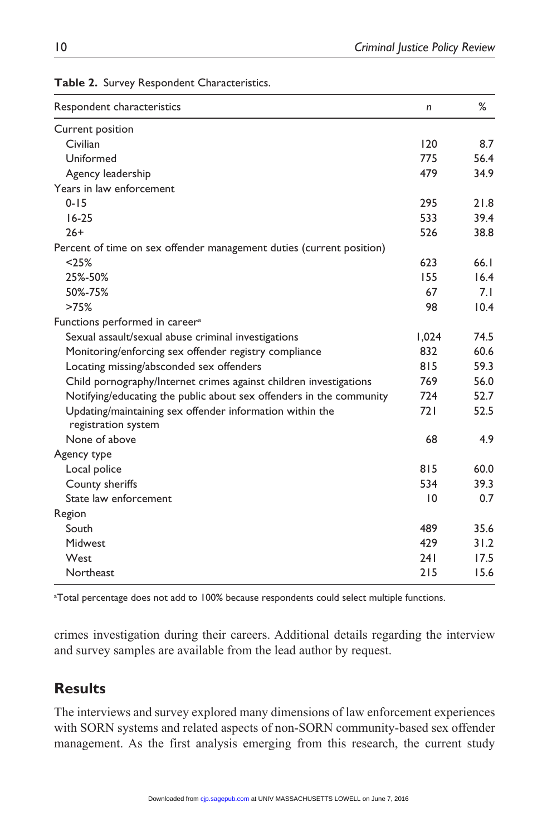| Respondent characteristics                                                      | n     | %    |
|---------------------------------------------------------------------------------|-------|------|
| Current position                                                                |       |      |
| Civilian                                                                        | 120   | 8.7  |
| Uniformed                                                                       | 775   | 56.4 |
| Agency leadership                                                               | 479   | 34.9 |
| Years in law enforcement                                                        |       |      |
| $0 - 15$                                                                        | 295   | 21.8 |
| $16 - 25$                                                                       | 533   | 39.4 |
| $26+$                                                                           | 526   | 38.8 |
| Percent of time on sex offender management duties (current position)            |       |      |
| < 25%                                                                           | 623   | 66.1 |
| 25%-50%                                                                         | 155   | 16.4 |
| 50%-75%                                                                         | 67    | 7.1  |
| >75%                                                                            | 98    | 10.4 |
| Functions performed in career <sup>a</sup>                                      |       |      |
| Sexual assault/sexual abuse criminal investigations                             | 1,024 | 74.5 |
| Monitoring/enforcing sex offender registry compliance                           | 832   | 60.6 |
| Locating missing/absconded sex offenders                                        | 815   | 59.3 |
| Child pornography/Internet crimes against children investigations               | 769   | 56.0 |
| Notifying/educating the public about sex offenders in the community             | 724   | 52.7 |
| Updating/maintaining sex offender information within the<br>registration system | 721   | 52.5 |
| None of above                                                                   | 68    | 4.9  |
| Agency type                                                                     |       |      |
| Local police                                                                    | 815   | 60.0 |
| County sheriffs                                                                 | 534   | 39.3 |
| State law enforcement                                                           | 10    | 0.7  |
| Region                                                                          |       |      |
| South                                                                           | 489   | 35.6 |
| Midwest                                                                         | 429   | 31.2 |
| West                                                                            | 241   | 17.5 |
| Northeast                                                                       | 215   | 15.6 |

**Table 2.** Survey Respondent Characteristics.

a Total percentage does not add to 100% because respondents could select multiple functions.

crimes investigation during their careers. Additional details regarding the interview and survey samples are available from the lead author by request.

# **Results**

The interviews and survey explored many dimensions of law enforcement experiences with SORN systems and related aspects of non-SORN community-based sex offender management. As the first analysis emerging from this research, the current study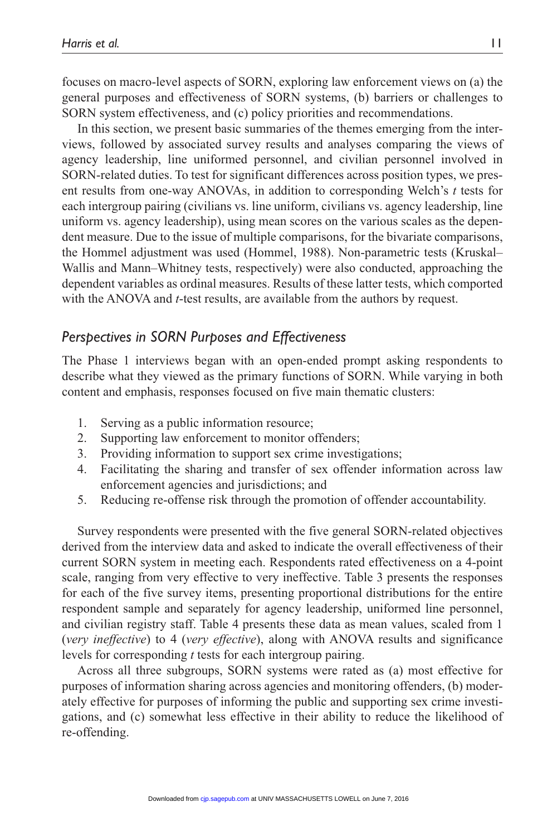focuses on macro-level aspects of SORN, exploring law enforcement views on (a) the general purposes and effectiveness of SORN systems, (b) barriers or challenges to SORN system effectiveness, and (c) policy priorities and recommendations.

In this section, we present basic summaries of the themes emerging from the interviews, followed by associated survey results and analyses comparing the views of agency leadership, line uniformed personnel, and civilian personnel involved in SORN-related duties. To test for significant differences across position types, we present results from one-way ANOVAs, in addition to corresponding Welch's *t* tests for each intergroup pairing (civilians vs. line uniform, civilians vs. agency leadership, line uniform vs. agency leadership), using mean scores on the various scales as the dependent measure. Due to the issue of multiple comparisons, for the bivariate comparisons, the Hommel adjustment was used (Hommel, 1988). Non-parametric tests (Kruskal– Wallis and Mann–Whitney tests, respectively) were also conducted, approaching the dependent variables as ordinal measures. Results of these latter tests, which comported with the ANOVA and *t*-test results, are available from the authors by request.

#### *Perspectives in SORN Purposes and Effectiveness*

The Phase 1 interviews began with an open-ended prompt asking respondents to describe what they viewed as the primary functions of SORN. While varying in both content and emphasis, responses focused on five main thematic clusters:

- 1. Serving as a public information resource;
- 2. Supporting law enforcement to monitor offenders;
- 3. Providing information to support sex crime investigations;
- 4. Facilitating the sharing and transfer of sex offender information across law enforcement agencies and jurisdictions; and
- 5. Reducing re-offense risk through the promotion of offender accountability.

Survey respondents were presented with the five general SORN-related objectives derived from the interview data and asked to indicate the overall effectiveness of their current SORN system in meeting each. Respondents rated effectiveness on a 4-point scale, ranging from very effective to very ineffective. Table 3 presents the responses for each of the five survey items, presenting proportional distributions for the entire respondent sample and separately for agency leadership, uniformed line personnel, and civilian registry staff. Table 4 presents these data as mean values, scaled from 1 (*very ineffective*) to 4 (*very effective*), along with ANOVA results and significance levels for corresponding *t* tests for each intergroup pairing.

Across all three subgroups, SORN systems were rated as (a) most effective for purposes of information sharing across agencies and monitoring offenders, (b) moderately effective for purposes of informing the public and supporting sex crime investigations, and (c) somewhat less effective in their ability to reduce the likelihood of re-offending.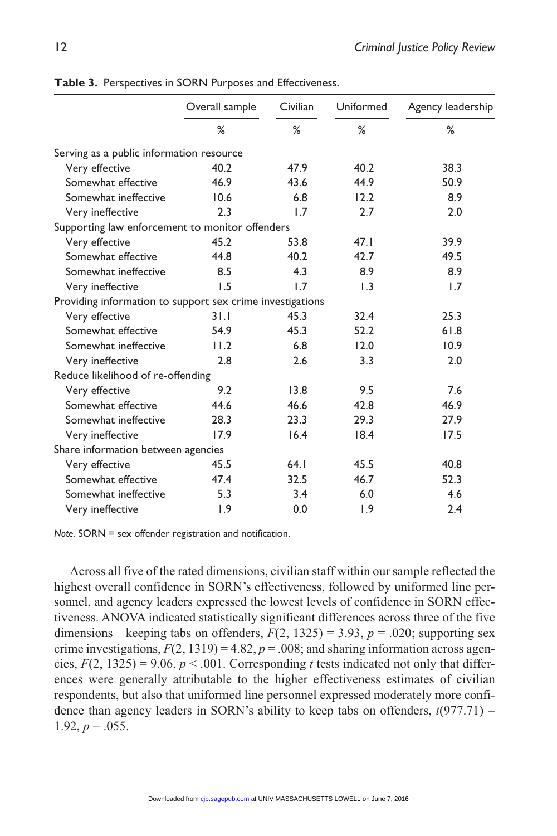|                                                           | Overall sample | Civilian | Uniformed | Agency leadership |
|-----------------------------------------------------------|----------------|----------|-----------|-------------------|
|                                                           | %              | %        | %         | %                 |
| Serving as a public information resource                  |                |          |           |                   |
| Very effective                                            | 40.2           | 47.9     | 40.2      | 38.3              |
| Somewhat effective                                        | 46.9           | 43.6     | 44.9      | 50.9              |
| Somewhat ineffective                                      | 10.6           | 6.8      | 12.2      | 8.9               |
| Very ineffective                                          | 2.3            | 1.7      | 2.7       | 2.0               |
| Supporting law enforcement to monitor offenders           |                |          |           |                   |
| Very effective                                            | 45.2           | 53.8     | 47.1      | 39.9              |
| Somewhat effective                                        | 44.8           | 40.2     | 42.7      | 49.5              |
| Somewhat ineffective                                      | 8.5            | 4.3      | 8.9       | 8.9               |
| Very ineffective                                          | 1.5            | 1.7      | 1.3       | 1.7               |
| Providing information to support sex crime investigations |                |          |           |                   |
| Very effective                                            | 31.1           | 45.3     | 32.4      | 25.3              |
| Somewhat effective                                        | 54.9           | 45.3     | 52.2      | 61.8              |
| Somewhat ineffective                                      | 11.2           | 6.8      | 12.0      | 10.9              |
| Very ineffective                                          | 2.8            | 2.6      | 3.3       | 2.0               |
| Reduce likelihood of re-offending                         |                |          |           |                   |
| Very effective                                            | 9.2            | 13.8     | 9.5       | 7.6               |
| Somewhat effective                                        | 44.6           | 46.6     | 42.8      | 46.9              |
| Somewhat ineffective                                      | 28.3           | 23.3     | 29.3      | 27.9              |
| Very ineffective                                          | 17.9           | 16.4     | 18.4      | 17.5              |
| Share information between agencies                        |                |          |           |                   |
| Very effective                                            | 45.5           | 64.1     | 45.5      | 40.8              |
| Somewhat effective                                        | 47.4           | 32.5     | 46.7      | 52.3              |
| Somewhat ineffective                                      | 5.3            | 3.4      | 6.0       | 4.6               |
| Very ineffective                                          | 1.9            | 0.0      | 1.9       | 2.4               |

**Table 3.** Perspectives in SORN Purposes and Effectiveness.

*Note.* SORN = sex offender registration and notification.

Across all five of the rated dimensions, civilian staff within our sample reflected the highest overall confidence in SORN's effectiveness, followed by uniformed line personnel, and agency leaders expressed the lowest levels of confidence in SORN effectiveness. ANOVA indicated statistically significant differences across three of the five dimensions—keeping tabs on offenders,  $F(2, 1325) = 3.93$ ,  $p = .020$ ; supporting sex crime investigations,  $F(2, 1319) = 4.82$ ,  $p = .008$ ; and sharing information across agencies,  $F(2, 1325) = 9.06$ ,  $p < .001$ . Corresponding *t* tests indicated not only that differences were generally attributable to the higher effectiveness estimates of civilian respondents, but also that uniformed line personnel expressed moderately more confidence than agency leaders in SORN's ability to keep tabs on offenders, *t*(977.71) =  $1.92, p = .055.$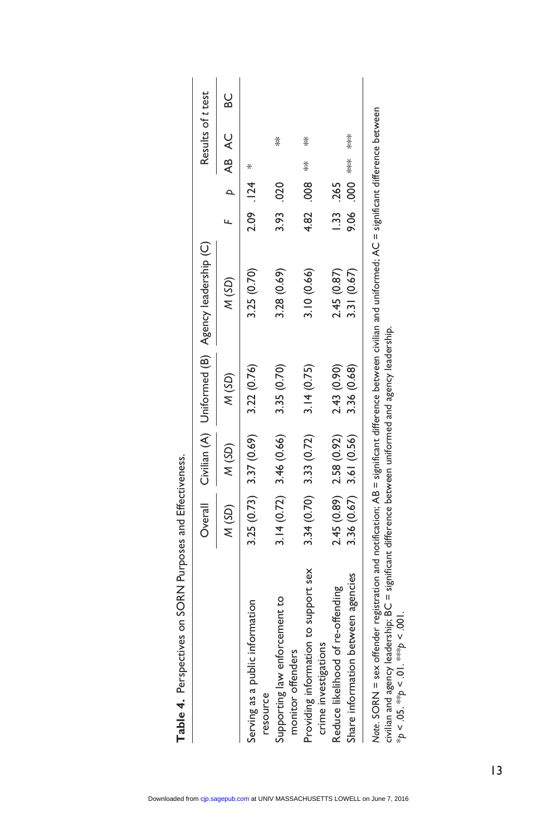|                                                                                                                                                                                                                                                                                                                     |                           |                                        | Overall Civilian (A) Uniformed (B) Agency leadership (C) |                 |   | Results of t test |  |
|---------------------------------------------------------------------------------------------------------------------------------------------------------------------------------------------------------------------------------------------------------------------------------------------------------------------|---------------------------|----------------------------------------|----------------------------------------------------------|-----------------|---|-------------------|--|
|                                                                                                                                                                                                                                                                                                                     | $M(SD)$ $M(SD)$           | M(SD)                                  | M(SD)                                                    |                 |   | F P AB AC BC      |  |
| Serving as a public information<br>resource                                                                                                                                                                                                                                                                         |                           | $3.25(0.73)$ $3.37(0.69)$ $3.22(0.76)$ | 3.25 (0.70)                                              | 2.09 .124       |   |                   |  |
| Supporting law enforcement to<br>monitor offenders                                                                                                                                                                                                                                                                  | $3.14(0.72)$ 3.46 (0.66)  | 3.35 (0.70)                            | 3.28 (0.69)                                              | 3.93 020        |   | ≸                 |  |
| Providing information to support sex<br>crime investigations                                                                                                                                                                                                                                                        | $3.34(0.70)$ 3.33 (0.72)  | 3.14(0.75)                             | 3.10 (0.66)                                              | 4.82 .008       | ≸ | 菜                 |  |
| Reduce likelihood of re-offending                                                                                                                                                                                                                                                                                   | $2.45(0.89)$ $2.58(0.92)$ | 2.43 (0.90)                            | 2.45 (0.87)                                              | 1.33 .265       |   |                   |  |
| Share information between agencies                                                                                                                                                                                                                                                                                  | $3.36(0.67)$ $3.61(0.56)$ | 3.36 (0.68)                            | 3.31 (0.67)                                              | 9.06 $.000$ *** |   | 菱                 |  |
| Note. SORN = sex offender registration and notification; AB = significant difference between civilian and uniformed; AC = significant difference between<br>civilian and agency leadership; $BC =$ significant difference between uniformed and agency leadership.<br>* $p < .05$ . ** $p < .01$ . *** $p < .001$ . |                           |                                        |                                                          |                 |   |                   |  |

Table 4. Perspectives on SORN Purposes and Effectiveness. **Table 4.** Perspectives on SORN Purposes and Effectiveness.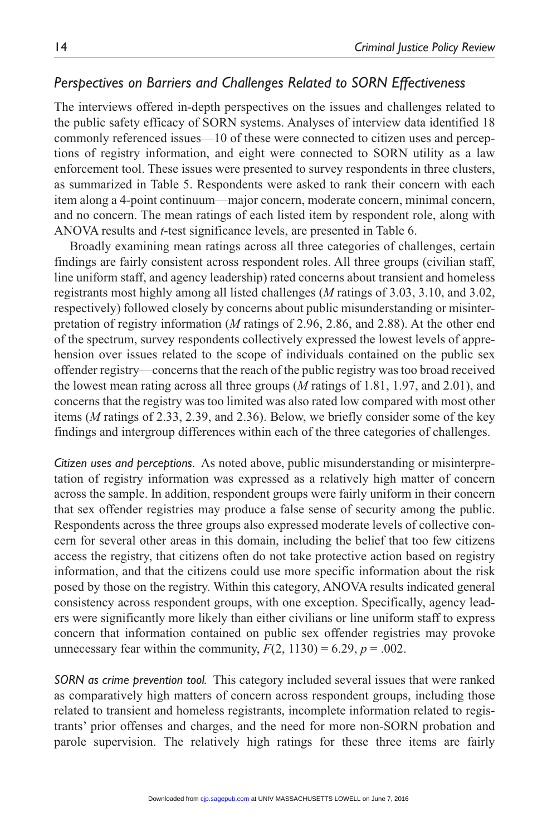### *Perspectives on Barriers and Challenges Related to SORN Effectiveness*

The interviews offered in-depth perspectives on the issues and challenges related to the public safety efficacy of SORN systems. Analyses of interview data identified 18 commonly referenced issues—10 of these were connected to citizen uses and perceptions of registry information, and eight were connected to SORN utility as a law enforcement tool. These issues were presented to survey respondents in three clusters, as summarized in Table 5. Respondents were asked to rank their concern with each item along a 4-point continuum—major concern, moderate concern, minimal concern, and no concern. The mean ratings of each listed item by respondent role, along with ANOVA results and *t*-test significance levels, are presented in Table 6.

Broadly examining mean ratings across all three categories of challenges, certain findings are fairly consistent across respondent roles. All three groups (civilian staff, line uniform staff, and agency leadership) rated concerns about transient and homeless registrants most highly among all listed challenges (*M* ratings of 3.03, 3.10, and 3.02, respectively) followed closely by concerns about public misunderstanding or misinterpretation of registry information (*M* ratings of 2.96, 2.86, and 2.88). At the other end of the spectrum, survey respondents collectively expressed the lowest levels of apprehension over issues related to the scope of individuals contained on the public sex offender registry—concerns that the reach of the public registry was too broad received the lowest mean rating across all three groups (*M* ratings of 1.81, 1.97, and 2.01), and concerns that the registry was too limited was also rated low compared with most other items (*M* ratings of 2.33, 2.39, and 2.36). Below, we briefly consider some of the key findings and intergroup differences within each of the three categories of challenges.

*Citizen uses and perceptions.* As noted above, public misunderstanding or misinterpretation of registry information was expressed as a relatively high matter of concern across the sample. In addition, respondent groups were fairly uniform in their concern that sex offender registries may produce a false sense of security among the public. Respondents across the three groups also expressed moderate levels of collective concern for several other areas in this domain, including the belief that too few citizens access the registry, that citizens often do not take protective action based on registry information, and that the citizens could use more specific information about the risk posed by those on the registry. Within this category, ANOVA results indicated general consistency across respondent groups, with one exception. Specifically, agency leaders were significantly more likely than either civilians or line uniform staff to express concern that information contained on public sex offender registries may provoke unnecessary fear within the community,  $F(2, 1130) = 6.29$ ,  $p = .002$ .

*SORN as crime prevention tool.* This category included several issues that were ranked as comparatively high matters of concern across respondent groups, including those related to transient and homeless registrants, incomplete information related to registrants' prior offenses and charges, and the need for more non-SORN probation and parole supervision. The relatively high ratings for these three items are fairly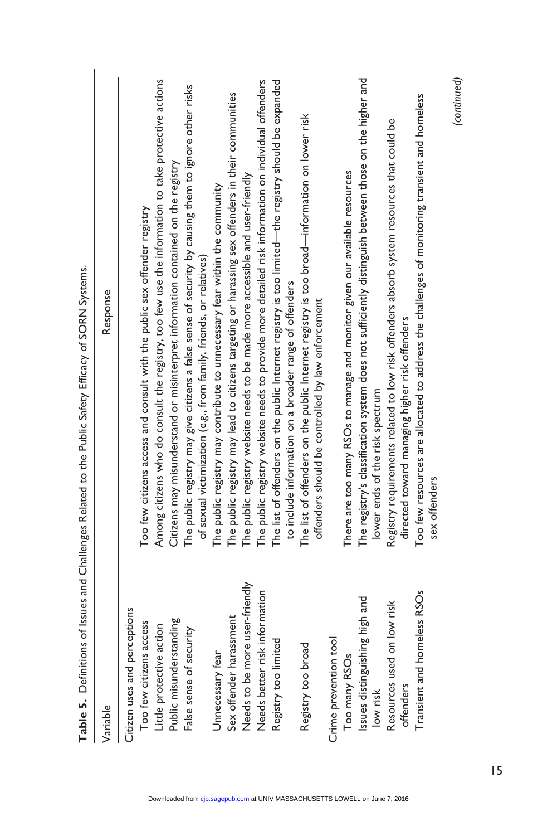| Variable                                   | Response                                                                                                                                                                    |
|--------------------------------------------|-----------------------------------------------------------------------------------------------------------------------------------------------------------------------------|
| Citizen uses and perceptions               |                                                                                                                                                                             |
| Too few citizens access                    | Too few citizens access and consult with the public sex offender registry                                                                                                   |
| Little protective action                   | Among citizens who do consult the registry, too few use the information to take protective actions                                                                          |
| Public misunderstanding                    | Citizens may misunderstand or misinterpret information contained on the registry                                                                                            |
| False sense of security                    | The public registry may give citizens a false sense of security by causing them to ignore other risks<br>of sexual victimization (e.g., from family, friends, or relatives) |
| Jnnecessary fear                           | The public registry may contribute to unnecessary fear within the community                                                                                                 |
| Sex offender harassment                    | The public registry may lead to citizens targeting or harassing sex offenders in their communities                                                                          |
| Needs to be more user-friendly             | The public registry website needs to be made more accessible and user-friendly                                                                                              |
| Needs better risk information              | The public registry website needs to provide more detailed risk information on individual offenders                                                                         |
| Registry too limited                       | The list of offenders on the public Internet registry is too limited—the registry should be expanded<br>to include information on a broader range of offenders              |
| Registry too broad                         | The list of offenders on the public Internet registry is too broad—information on lower risk<br>offenders should be controlled by law enforcement                           |
| Crime prevention tool                      |                                                                                                                                                                             |
| Too many RSOs                              | There are too many RSOs to manage and monitor given our available resources                                                                                                 |
| Issues distinguishing high and<br>low risk | The registry's classification system does not sufficiently distinguish between those on the higher and<br>lower ends of the risk spectrum                                   |
| Resources used on low risk<br>offenders    | Registry requirements related to low risk offenders absorb system resources that could be<br>directed toward managing higher risk offenders                                 |
| Transient and homeless RSOs                | Too few resources are allocated to address the challenges of monitoring transient and homeless<br>sex offenders                                                             |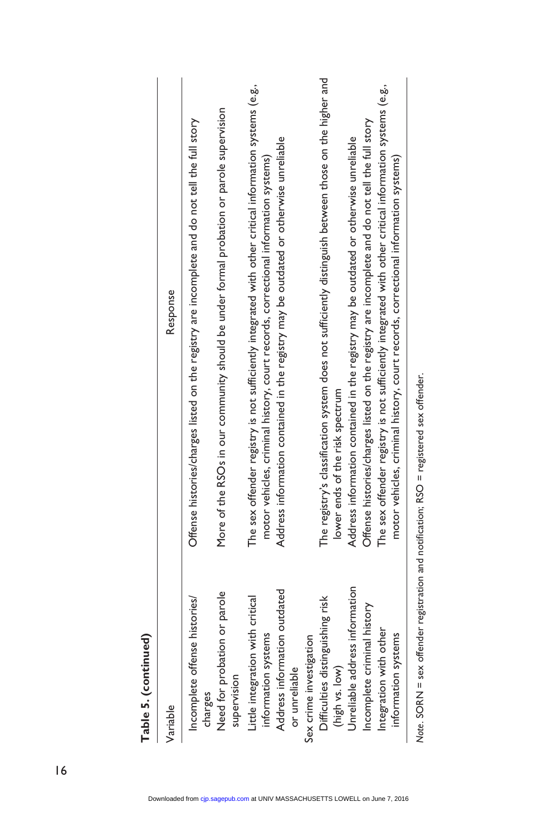| Table 5. (continued)                                                                    |                                                                                                                                                                                                                                                                                        |
|-----------------------------------------------------------------------------------------|----------------------------------------------------------------------------------------------------------------------------------------------------------------------------------------------------------------------------------------------------------------------------------------|
| Variable                                                                                | Response                                                                                                                                                                                                                                                                               |
| Incomplete offense histories/<br>charges                                                | Offense histories/charges listed on the registry are incomplete and do not tell the full story                                                                                                                                                                                         |
| Need for probation or parole<br>supervision                                             | More of the RSOs in our community should be under formal probation or parole supervision                                                                                                                                                                                               |
| Address information outdated<br>Little integration with critical<br>information systems | The sex offender registry is not sufficiently integrated with other critical information systems (e.g.,<br>Address information contained in the registry may be outdated or otherwise unreliable<br>motor vehicles, criminal history, court records, correctional information systems) |
| or unreliable                                                                           |                                                                                                                                                                                                                                                                                        |
| Sex crime investigation                                                                 |                                                                                                                                                                                                                                                                                        |
| Difficulties distinguishing risk<br>(high vs. low)                                      | The registry's classification system does not sufficiently distinguish between those on the higher and<br>lower ends of the risk spectrum                                                                                                                                              |
| Unreliable address information                                                          | Address information contained in the registry may be outdated or otherwise unreliable                                                                                                                                                                                                  |
| Incomplete criminal history                                                             | Offense histories/charges listed on the registry are incomplete and do not tell the full story                                                                                                                                                                                         |
| Integration with other                                                                  | The sex offender registry is not sufficiently integrated with other critical information systems (e.g.,                                                                                                                                                                                |
| information systems                                                                     | motor vehicles, criminal history, court records, correctional information systems)                                                                                                                                                                                                     |
|                                                                                         | Note, SORN = sex offender registration and notification: RSO = registered sex offender.                                                                                                                                                                                                |

*Note*. SORN = sex offender registration and notification; RSO = registered sex offender. ႜౣိ  $\frac{1}{2}$ ႜౣᢅ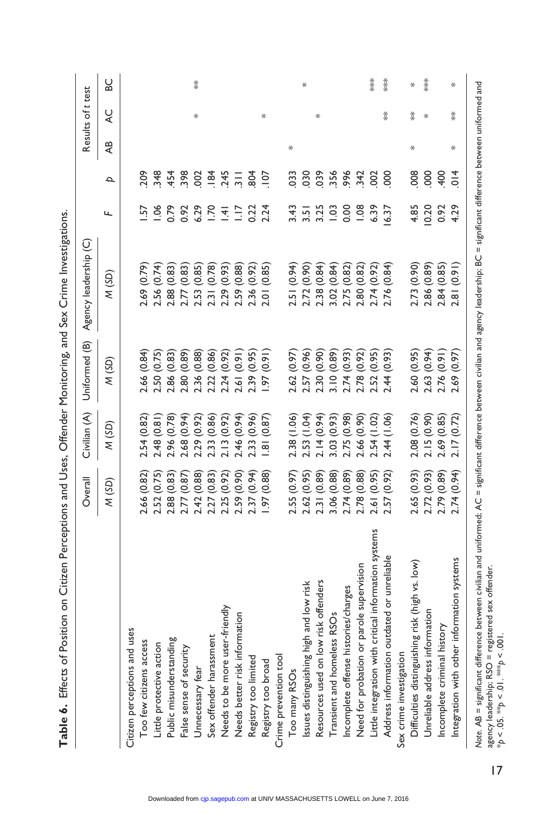|                                                                                                                                                                                                                                                                                                   | Overall        | Civilian (A)               | Uniformed (B)    | Agency leadership (C) |                                                                       |                 |   | Results of t test |    |
|---------------------------------------------------------------------------------------------------------------------------------------------------------------------------------------------------------------------------------------------------------------------------------------------------|----------------|----------------------------|------------------|-----------------------|-----------------------------------------------------------------------|-----------------|---|-------------------|----|
|                                                                                                                                                                                                                                                                                                   | (SD)           | M(SD)                      | (SD)             | M(SD)                 | щ                                                                     | Þ               | Æ | Q                 | BC |
| Citizen perceptions and uses                                                                                                                                                                                                                                                                      |                |                            |                  |                       |                                                                       |                 |   |                   |    |
| Too few citizens access                                                                                                                                                                                                                                                                           | 2.66 (0.82)    | 2.54 (0.82)                | 2.66 (0.84)      | 2.69 (0.79)           | $\overline{5}$                                                        | 209             |   |                   |    |
| Little protective action                                                                                                                                                                                                                                                                          | (0.75)<br>2.52 | 2.48 (0.81)                | 2.50 (0.75)      | 2.56 (0.74)           |                                                                       | 348             |   |                   |    |
| Public misunderstanding                                                                                                                                                                                                                                                                           | (0.83)<br>2.88 | 2.96 (0.78)                | 2.86 (0.83)      | 2.88 (0.83)           | $\frac{106}{0.79}$                                                    | 454             |   |                   |    |
| False sense of security                                                                                                                                                                                                                                                                           | (0.87)<br>2.77 | 2.68 (0.94)                | 2.80 (0.89)      | 2.77 (0.83)           |                                                                       | 398             |   |                   |    |
|                                                                                                                                                                                                                                                                                                   | (0.88)<br>2.42 | 2.29 (0.92)                | 2.36 (0.88)      | 2.53 (0.85)           |                                                                       | $\frac{2}{3}$   |   | ⋇                 | 菜  |
| Unnecessary fear<br>Sex offender harassment                                                                                                                                                                                                                                                       | (0.83)<br>2.27 | 2.33 (0.86)                | 2.22 (0.86)      | 2.31 (0.78)           | 0.3887772                                                             | $\frac{1}{8}$   |   |                   |    |
| Needs to be more user-friendly                                                                                                                                                                                                                                                                    | (0.92)<br>2.25 | 2.13 (0.92)                | 2.24 (0.92)      | 2.29 (0.93)           |                                                                       |                 |   |                   |    |
| Needs better risk information                                                                                                                                                                                                                                                                     | (0.90)<br>2.59 | 2.46 (0.94)                | 2.61 (0.91       | 2.59 (0.88)           |                                                                       | $rac{245}{311}$ |   |                   |    |
| Registry too limited                                                                                                                                                                                                                                                                              | (0.94)<br>2.37 | 2.33 (0.96)                | 2.39 (0.95)      | 2.36 (0.92)           |                                                                       | $\mathsf{g}^2$  |   |                   |    |
| Registry too broad                                                                                                                                                                                                                                                                                | (0.88)<br>1.97 | $(8.0)$ 18.1               | $(16.0)$ $(6.1)$ | 2.01 (0.85)           | 2.24                                                                  | $rac{1}{2}$     |   | ⋇                 |    |
| Crime prevention tool                                                                                                                                                                                                                                                                             |                |                            |                  |                       |                                                                       |                 |   |                   |    |
| Too many RSOs                                                                                                                                                                                                                                                                                     | 2.55 (0.97)    | 2.38 (1.06)                | 2.62 (0.97)      | 2.51 (0.94)           | 3.43                                                                  | 033             | ₩ |                   |    |
| high and low risk<br>Issues distinguishing                                                                                                                                                                                                                                                        | 2.62 (0.95)    | 2.53 (1.04)                | 2.57 (0.96)      | 2.72 (0.90)           |                                                                       | 030             |   |                   | ₩  |
| ow risk offenders<br>Resources used on I                                                                                                                                                                                                                                                          | (0.89)<br>2.31 | 2.14(0.94)                 | (0.90)<br>2.30   | 2.38(0.84)            | $\frac{1}{2}$ $\frac{1}{2}$ $\frac{1}{2}$ $\frac{1}{2}$ $\frac{1}{2}$ | 039             |   | ⋇                 |    |
| Transient and homeless RSOs                                                                                                                                                                                                                                                                       | (0.88)<br>3.06 | 3.03 (0.93)                | 3.10 (0.89)      | 3.02(0.84)            |                                                                       | 356             |   |                   |    |
| Incomplete offense histories/charges                                                                                                                                                                                                                                                              | 2.74 (0.89)    | 2.75 (0.98)                | 2.74 (0.93)      | 2.75 (0.82)           | 0.00                                                                  | 996             |   |                   |    |
| Need for probation or parole supervision                                                                                                                                                                                                                                                          | (0.88)<br>2.78 | 2.66 (0.90)<br>2.54 (1.02) | 2.78 (0.92)      | 2.80 (0.82)           | $\frac{6.39}{ }$                                                      | 342             |   |                   |    |
| Little integration with critical information systems                                                                                                                                                                                                                                              | (0.95)<br>2.61 |                            | 2.52 (0.95)      | 2.74 (0.92)           |                                                                       | .002            |   |                   | 菱  |
| outdated or unreliable<br>Address information                                                                                                                                                                                                                                                     | (0.92)<br>2.57 | 2.44 (1.06)                | (0.93)<br>2.44   | 2.76 (0.84)           | 6.37                                                                  | $rac{0}{2}$     |   | 菜                 | 菱  |
| Sex crime investigation                                                                                                                                                                                                                                                                           |                |                            |                  |                       |                                                                       |                 |   |                   |    |
| Difficulties distinguishing risk (high vs. low)                                                                                                                                                                                                                                                   | 2.65 (0.93)    | 2.08 (0.76)                | 2.60 (0.95)      | 2.73 (0.90)           | 4.85                                                                  | 008             | ⋇ | 菜                 | ⋇  |
| Unreliable address information                                                                                                                                                                                                                                                                    | 2.72 (0.93)    | 2.15 (0.90)                | 2.63(0.94)       | 2.86 (0.89)           | 0.20                                                                  | 000             |   | ⋇                 | 菱  |
| history<br>Incomplete criminal                                                                                                                                                                                                                                                                    | 2.79 (0.89)    | 2.69 (0.85)                | 2.76 (0.91)      | 2.84 (0.85)           | 0.92                                                                  | 400             |   |                   |    |
| Integration with other information systems                                                                                                                                                                                                                                                        | (0.94)<br>2.74 | (0.72)<br>2.17             | 2.69 (0.97)      | (0.91)<br>2.81        | 4.29                                                                  | $rac{4}{2}$     | ₩ | 菜                 | ⋇  |
| Note. AB = significant difference between civilian and uniformed; AC = significant difference between civilian and agency leadership; BC = significant difference between uniformed and<br>registered sex offender<br>$\overline{5}$<br>agency leadership; RSO = 1<br>*p < .05. **p < .01. ***p < |                |                            |                  |                       |                                                                       |                 |   |                   |    |
|                                                                                                                                                                                                                                                                                                   |                |                            |                  |                       |                                                                       |                 |   |                   |    |

Table 6. Effects of Position on Citizen Perceptions and Uses, Offender Monitoring, and Sex Crime Investigations. **Table 6.** Effects of Position on Citizen Perceptions and Uses, Offender Monitoring, and Sex Crime Investigations.

17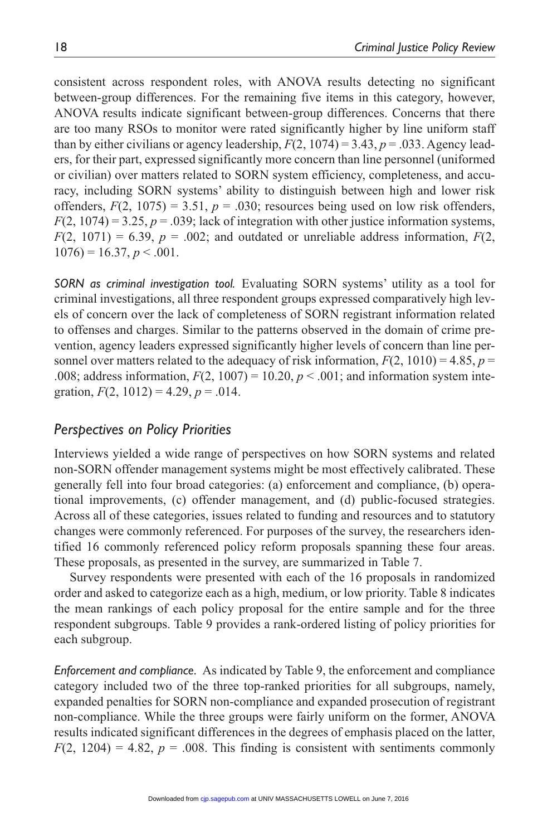consistent across respondent roles, with ANOVA results detecting no significant between-group differences. For the remaining five items in this category, however, ANOVA results indicate significant between-group differences. Concerns that there are too many RSOs to monitor were rated significantly higher by line uniform staff than by either civilians or agency leadership,  $F(2, 1074) = 3.43$ ,  $p = .033$ . Agency leaders, for their part, expressed significantly more concern than line personnel (uniformed or civilian) over matters related to SORN system efficiency, completeness, and accuracy, including SORN systems' ability to distinguish between high and lower risk offenders,  $F(2, 1075) = 3.51$ ,  $p = .030$ ; resources being used on low risk offenders,  $F(2, 1074) = 3.25$ ,  $p = .039$ ; lack of integration with other justice information systems,  $F(2, 1071) = 6.39$ ,  $p = .002$ ; and outdated or unreliable address information,  $F(2, 1071)$  $1076$ ) = 16.37, *p* < .001.

*SORN as criminal investigation tool.* Evaluating SORN systems' utility as a tool for criminal investigations, all three respondent groups expressed comparatively high levels of concern over the lack of completeness of SORN registrant information related to offenses and charges. Similar to the patterns observed in the domain of crime prevention, agency leaders expressed significantly higher levels of concern than line personnel over matters related to the adequacy of risk information,  $F(2, 1010) = 4.85$ ,  $p =$ .008; address information,  $F(2, 1007) = 10.20$ ,  $p < .001$ ; and information system integration,  $F(2, 1012) = 4.29$ ,  $p = .014$ .

## *Perspectives on Policy Priorities*

Interviews yielded a wide range of perspectives on how SORN systems and related non-SORN offender management systems might be most effectively calibrated. These generally fell into four broad categories: (a) enforcement and compliance, (b) operational improvements, (c) offender management, and (d) public-focused strategies. Across all of these categories, issues related to funding and resources and to statutory changes were commonly referenced. For purposes of the survey, the researchers identified 16 commonly referenced policy reform proposals spanning these four areas. These proposals, as presented in the survey, are summarized in Table 7.

Survey respondents were presented with each of the 16 proposals in randomized order and asked to categorize each as a high, medium, or low priority. Table 8 indicates the mean rankings of each policy proposal for the entire sample and for the three respondent subgroups. Table 9 provides a rank-ordered listing of policy priorities for each subgroup.

*Enforcement and compliance.* As indicated by Table 9, the enforcement and compliance category included two of the three top-ranked priorities for all subgroups, namely, expanded penalties for SORN non-compliance and expanded prosecution of registrant non-compliance. While the three groups were fairly uniform on the former, ANOVA results indicated significant differences in the degrees of emphasis placed on the latter,  $F(2, 1204) = 4.82$ ,  $p = .008$ . This finding is consistent with sentiments commonly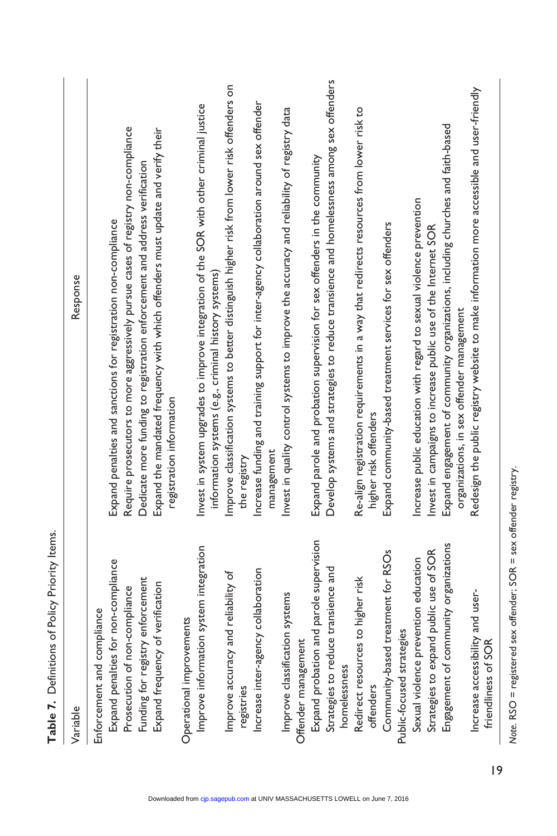| Variable                                                | Response                                                                                                                                        |
|---------------------------------------------------------|-------------------------------------------------------------------------------------------------------------------------------------------------|
| Enforcement and compliance                              |                                                                                                                                                 |
| Expand penalties for non-compliance                     | Expand penalties and sanctions for registration non-compliance                                                                                  |
| Prosecution of non-compliance                           | Require prosecutors to more aggressively pursue cases of registry non-compliance                                                                |
| Funding for registry enforcement                        | Dedicate more funding to registration enforcement and address verification                                                                      |
| Expand frequency of verification                        | Expand the mandated frequency with which offenders must update and verify their<br>registration information                                     |
| Operational improvements                                |                                                                                                                                                 |
| Improve information system integration                  | Invest in system upgrades to improve integration of the SOR with other criminal justice<br>information systems (e.g., criminal history systems) |
| Improve accuracy and reliability of<br>registries       | Improve classification systems to better distinguish higher risk from lower risk offenders on<br>the registry                                   |
| Increase inter-agency collaboration                     | Increase funding and training support for inter-agency collaboration around sex offender<br>management                                          |
| Improve classification systems                          | Invest in quality control systems to improve the accuracy and reliability of registry data                                                      |
| Offender management                                     |                                                                                                                                                 |
| Expand probation and parole supervision                 | Expand parole and probation supervision for sex offenders in the community                                                                      |
| Strategies to reduce transience and<br>homelessness     | Develop systems and strategies to reduce transience and homelessness among sex offenders                                                        |
| Redirect resources to higher risk<br>offenders          | Re-align registration requirements in a way that redirects resources from lower risk to<br>higher risk offenders                                |
| Community-based treatment for RSOs                      | Expand community-based treatment services for sex offenders                                                                                     |
| Public-focused strategies                               |                                                                                                                                                 |
| Sexual violence prevention education                    | Increase public education with regard to sexual violence prevention                                                                             |
| Strategies to expand public use of SOR                  | Invest in campaigns to increase public use of the Internet SOR                                                                                  |
| Engagement of community organizations                   | Expand engagement of community organizations, including churches and faith-based<br>organizations, in sex offender management                   |
| Increase accessibility and user-<br>friendliness of SOR | Redesign the public registry website to make information more accessible and user-friendly                                                      |

19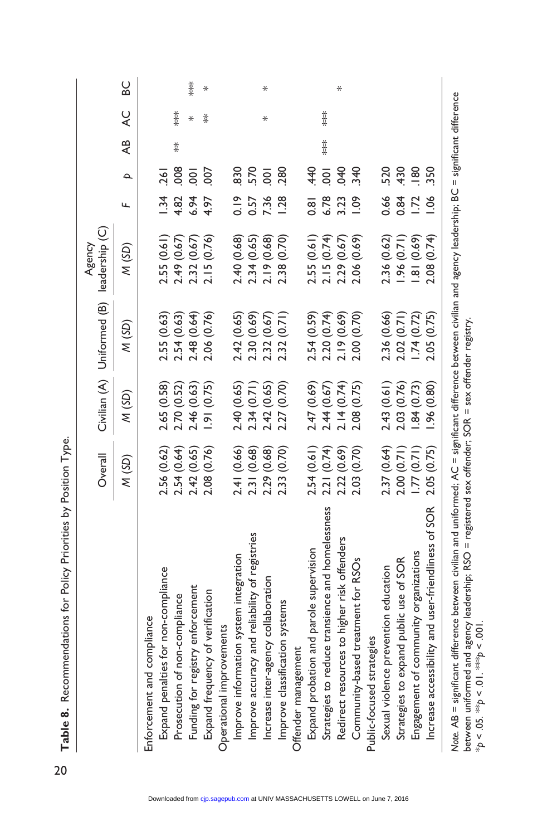|                                                                                                                                                                                                                                                                                                                        | Overall                    |             | Civilian (A) Uniformed (B) | leadership (C)<br>Agency   |                |                 |                |   |    |
|------------------------------------------------------------------------------------------------------------------------------------------------------------------------------------------------------------------------------------------------------------------------------------------------------------------------|----------------------------|-------------|----------------------------|----------------------------|----------------|-----------------|----------------|---|----|
|                                                                                                                                                                                                                                                                                                                        | M(SD)                      | M(SD)       | M(SD)                      | M(SD)                      | щ              | Þ               | $\overline{4}$ | Q | BC |
| Enforcement and compliance                                                                                                                                                                                                                                                                                             |                            |             |                            |                            |                |                 |                |   |    |
| Expand penalties for non-compliance                                                                                                                                                                                                                                                                                    | 2.56 (0.62)                | 2.65 (0.58) | 2.55(0.63)                 | 2.55(0.61)                 | 1.34           | .261            |                |   |    |
|                                                                                                                                                                                                                                                                                                                        | 2.54 (0.64)                | 2.70 (0.52) | 2.54(0.63)                 | 2.49 (0.67)                | 4.82           | 008             | ≸              | 菱 |    |
| Prosecution of non-compliance<br>Funding for registry enforcement                                                                                                                                                                                                                                                      | 2.42 (0.65)                | 2.46 (0.63) | 2.48 (0.64)                | 2.32(0.67)                 | 6.94           | $\overline{5}$  |                | ⋇ | 菱  |
| Expand frequency of verification                                                                                                                                                                                                                                                                                       | 2.08 (0.76)                | 1.91(0.75)  | 2.06 (0.76)                | 2.15 (0.76)                | 4.97           | $\overline{50}$ |                | 糞 | ₩  |
| Operational improvements                                                                                                                                                                                                                                                                                               |                            |             |                            |                            |                |                 |                |   |    |
| Improve information system integration                                                                                                                                                                                                                                                                                 | 2.41 (0.66)                | 2.40 (0.65) | 2.42(0.65)                 | 2.40(0.68)                 | 0.19           | 830             |                |   |    |
| Improve accuracy and reliability of registries                                                                                                                                                                                                                                                                         | 2.31 (0.68)                | 2.34(0.71)  | 2.30(0.69)                 | 2.34 (0.65)                | 0.57           | 570             |                |   |    |
| Increase inter-agency collaboration                                                                                                                                                                                                                                                                                    | 2.29 (0.68)                | 2.42(0.65)  | 2.32(0.67)                 |                            | 7.36           | $\overline{5}$  |                | ∗ | ⋇  |
| Improve classification systems                                                                                                                                                                                                                                                                                         | 2.33 (0.70)                | 2.27 (0.70) | 2.32(0.71)                 | 2.19 (0.68)<br>2.38 (0.70) | <b>1.28</b>    | 280             |                |   |    |
|                                                                                                                                                                                                                                                                                                                        |                            |             |                            |                            |                |                 |                |   |    |
| Offender management<br>Expand probation and parole supervision                                                                                                                                                                                                                                                         | 2.54(0.61)                 | 2.47 (0.69) | 2.54(0.59)                 | 2.55(0.61)                 | 0.81           | 440             |                |   |    |
| Strategies to reduce transience and homelessness                                                                                                                                                                                                                                                                       | 2.21 (0.74)<br>2.22 (0.69) | 2.44(0.67)  | 2.20 (0.74)                | 2.15(0.74)                 | 6.78           | $\overline{5}$  | 茶              | 茶 |    |
| Redirect resources to higher risk offenders                                                                                                                                                                                                                                                                            |                            | 2.14(0.74)  | 2.19 (0.69)                | 2.29(0.67)                 | 3.23           | 640             |                |   | ⋇  |
| treatment for RSOs<br>Community-based                                                                                                                                                                                                                                                                                  | (0.70)<br>2.03             | 2.08 (0.75) | 2.00 (0.70)                | 2.06 (0.69)                | $\frac{50}{2}$ | 340             |                |   |    |
| Public-focused strategies                                                                                                                                                                                                                                                                                              |                            |             |                            |                            |                |                 |                |   |    |
| Sexual violence prevention education                                                                                                                                                                                                                                                                                   | 2.37 (0.64)                | 2.43(0.61)  | 2.36(0.66)                 | 2.36 (0.62)                | 0.66           | 520             |                |   |    |
| Strategies to expand public use of SOR                                                                                                                                                                                                                                                                                 | 2.00(0.71)                 | 2.03 (0.76) | 2.02(0.71)                 | (.86(0.71))                | 0.84           | 430             |                |   |    |
| Engagement of community organizations                                                                                                                                                                                                                                                                                  | 1.77(0.71)                 | .84(0.73)   | 1.74(0.72)                 | $(690)$ 181                | 1.72           | 180             |                |   |    |
| Increase accessibility and user-friendliness of SOR                                                                                                                                                                                                                                                                    | 2.05 (0.75)                | (.96(0.80)) | 2.05(0.75)                 | 2.08(0.74)                 | $\frac{8}{10}$ | 350             |                |   |    |
| Note. AB = significant difference between civilian and uniformed; AC = significant difference between civilian and agency leadership; BC = significant difference<br>agency leadership; RSO = registered sex offender; SOR = sex offender registry.<br>$ 00\rangle >$<br>between uniformed and<br>*p < .05. **p < .01. |                            |             |                            |                            |                |                 |                |   |    |

Table 8. Recommendations for Policy Priorities by Position Type. 20**Table 8.** Recommendations for Policy Priorities by Position Type.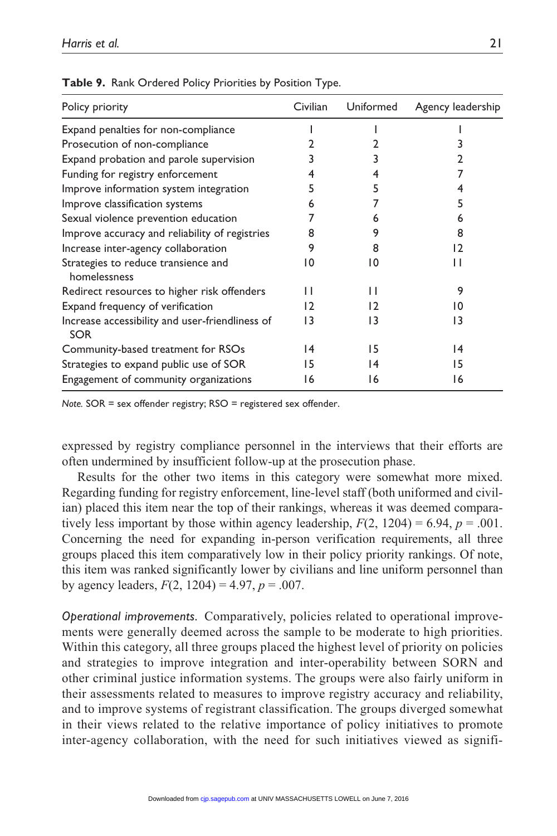| Policy priority                                               | Civilian        | Uniformed      | Agency leadership |
|---------------------------------------------------------------|-----------------|----------------|-------------------|
| Expand penalties for non-compliance                           |                 |                |                   |
| Prosecution of non-compliance                                 |                 |                |                   |
| Expand probation and parole supervision                       |                 |                |                   |
| Funding for registry enforcement                              | 4               |                |                   |
| Improve information system integration                        | 5               |                |                   |
| Improve classification systems                                | 6               |                | 5                 |
| Sexual violence prevention education                          |                 | 6              | 6                 |
| Improve accuracy and reliability of registries                | 8               |                | 8                 |
| Increase inter-agency collaboration                           | 9               |                | $\overline{2}$    |
| Strategies to reduce transience and<br>homelessness           | 10              | 10             | Н                 |
| Redirect resources to higher risk offenders                   | П               | П              | 9                 |
| Expand frequency of verification                              | $\overline{2}$  | $\overline{2}$ | 10                |
| Increase accessibility and user-friendliness of<br><b>SOR</b> | 13              | 13             | 13                |
| Community-based treatment for RSOs                            | $\overline{14}$ | 15             | $\overline{14}$   |
| Strategies to expand public use of SOR                        | 15              | 14             | 15                |
| Engagement of community organizations                         | 16              | 16             | 16                |

**Table 9.** Rank Ordered Policy Priorities by Position Type.

*Note.* SOR = sex offender registry; RSO = registered sex offender.

expressed by registry compliance personnel in the interviews that their efforts are often undermined by insufficient follow-up at the prosecution phase.

Results for the other two items in this category were somewhat more mixed. Regarding funding for registry enforcement, line-level staff (both uniformed and civilian) placed this item near the top of their rankings, whereas it was deemed comparatively less important by those within agency leadership,  $F(2, 1204) = 6.94$ ,  $p = .001$ . Concerning the need for expanding in-person verification requirements, all three groups placed this item comparatively low in their policy priority rankings. Of note, this item was ranked significantly lower by civilians and line uniform personnel than by agency leaders,  $F(2, 1204) = 4.97$ ,  $p = .007$ .

*Operational improvements.* Comparatively, policies related to operational improvements were generally deemed across the sample to be moderate to high priorities. Within this category, all three groups placed the highest level of priority on policies and strategies to improve integration and inter-operability between SORN and other criminal justice information systems. The groups were also fairly uniform in their assessments related to measures to improve registry accuracy and reliability, and to improve systems of registrant classification. The groups diverged somewhat in their views related to the relative importance of policy initiatives to promote inter-agency collaboration, with the need for such initiatives viewed as signifi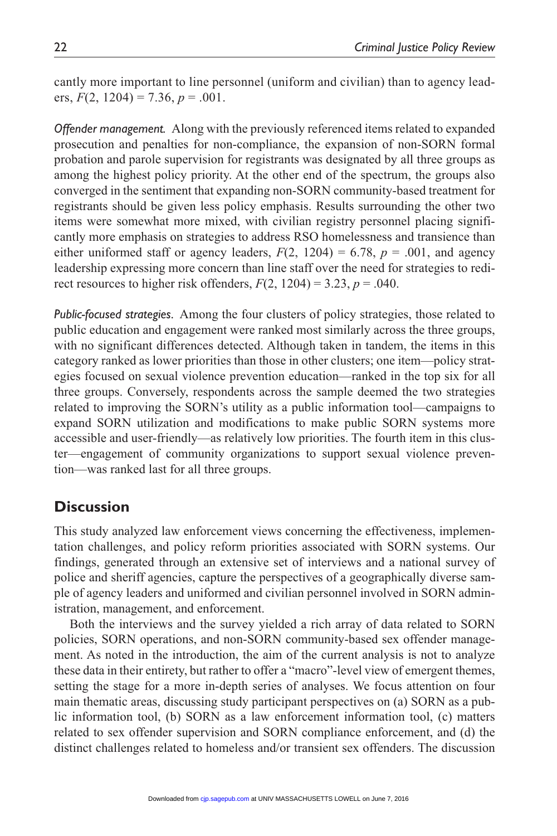cantly more important to line personnel (uniform and civilian) than to agency leaders,  $F(2, 1204) = 7.36, p = .001$ .

*Offender management.* Along with the previously referenced items related to expanded prosecution and penalties for non-compliance, the expansion of non-SORN formal probation and parole supervision for registrants was designated by all three groups as among the highest policy priority. At the other end of the spectrum, the groups also converged in the sentiment that expanding non-SORN community-based treatment for registrants should be given less policy emphasis. Results surrounding the other two items were somewhat more mixed, with civilian registry personnel placing significantly more emphasis on strategies to address RSO homelessness and transience than either uniformed staff or agency leaders,  $F(2, 1204) = 6.78$ ,  $p = .001$ , and agency leadership expressing more concern than line staff over the need for strategies to redirect resources to higher risk offenders,  $F(2, 1204) = 3.23$ ,  $p = .040$ .

*Public-focused strategies.* Among the four clusters of policy strategies, those related to public education and engagement were ranked most similarly across the three groups, with no significant differences detected. Although taken in tandem, the items in this category ranked as lower priorities than those in other clusters; one item—policy strategies focused on sexual violence prevention education—ranked in the top six for all three groups. Conversely, respondents across the sample deemed the two strategies related to improving the SORN's utility as a public information tool—campaigns to expand SORN utilization and modifications to make public SORN systems more accessible and user-friendly—as relatively low priorities. The fourth item in this cluster—engagement of community organizations to support sexual violence prevention—was ranked last for all three groups.

## **Discussion**

This study analyzed law enforcement views concerning the effectiveness, implementation challenges, and policy reform priorities associated with SORN systems. Our findings, generated through an extensive set of interviews and a national survey of police and sheriff agencies, capture the perspectives of a geographically diverse sample of agency leaders and uniformed and civilian personnel involved in SORN administration, management, and enforcement.

Both the interviews and the survey yielded a rich array of data related to SORN policies, SORN operations, and non-SORN community-based sex offender management. As noted in the introduction, the aim of the current analysis is not to analyze these data in their entirety, but rather to offer a "macro"-level view of emergent themes, setting the stage for a more in-depth series of analyses. We focus attention on four main thematic areas, discussing study participant perspectives on (a) SORN as a public information tool, (b) SORN as a law enforcement information tool, (c) matters related to sex offender supervision and SORN compliance enforcement, and (d) the distinct challenges related to homeless and/or transient sex offenders. The discussion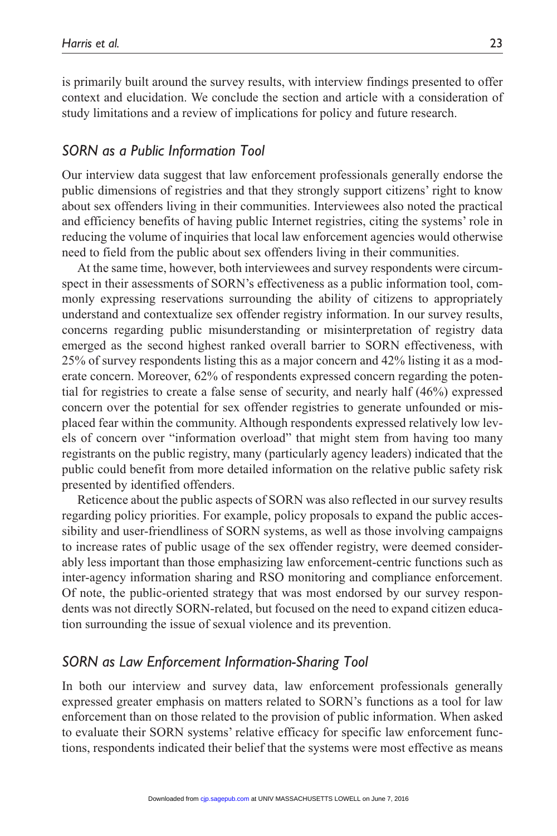is primarily built around the survey results, with interview findings presented to offer context and elucidation. We conclude the section and article with a consideration of study limitations and a review of implications for policy and future research.

## *SORN as a Public Information Tool*

Our interview data suggest that law enforcement professionals generally endorse the public dimensions of registries and that they strongly support citizens' right to know about sex offenders living in their communities. Interviewees also noted the practical and efficiency benefits of having public Internet registries, citing the systems' role in reducing the volume of inquiries that local law enforcement agencies would otherwise need to field from the public about sex offenders living in their communities.

At the same time, however, both interviewees and survey respondents were circumspect in their assessments of SORN's effectiveness as a public information tool, commonly expressing reservations surrounding the ability of citizens to appropriately understand and contextualize sex offender registry information. In our survey results, concerns regarding public misunderstanding or misinterpretation of registry data emerged as the second highest ranked overall barrier to SORN effectiveness, with 25% of survey respondents listing this as a major concern and 42% listing it as a moderate concern. Moreover, 62% of respondents expressed concern regarding the potential for registries to create a false sense of security, and nearly half (46%) expressed concern over the potential for sex offender registries to generate unfounded or misplaced fear within the community. Although respondents expressed relatively low levels of concern over "information overload" that might stem from having too many registrants on the public registry, many (particularly agency leaders) indicated that the public could benefit from more detailed information on the relative public safety risk presented by identified offenders.

Reticence about the public aspects of SORN was also reflected in our survey results regarding policy priorities. For example, policy proposals to expand the public accessibility and user-friendliness of SORN systems, as well as those involving campaigns to increase rates of public usage of the sex offender registry, were deemed considerably less important than those emphasizing law enforcement-centric functions such as inter-agency information sharing and RSO monitoring and compliance enforcement. Of note, the public-oriented strategy that was most endorsed by our survey respondents was not directly SORN-related, but focused on the need to expand citizen education surrounding the issue of sexual violence and its prevention.

## *SORN as Law Enforcement Information-Sharing Tool*

In both our interview and survey data, law enforcement professionals generally expressed greater emphasis on matters related to SORN's functions as a tool for law enforcement than on those related to the provision of public information. When asked to evaluate their SORN systems' relative efficacy for specific law enforcement functions, respondents indicated their belief that the systems were most effective as means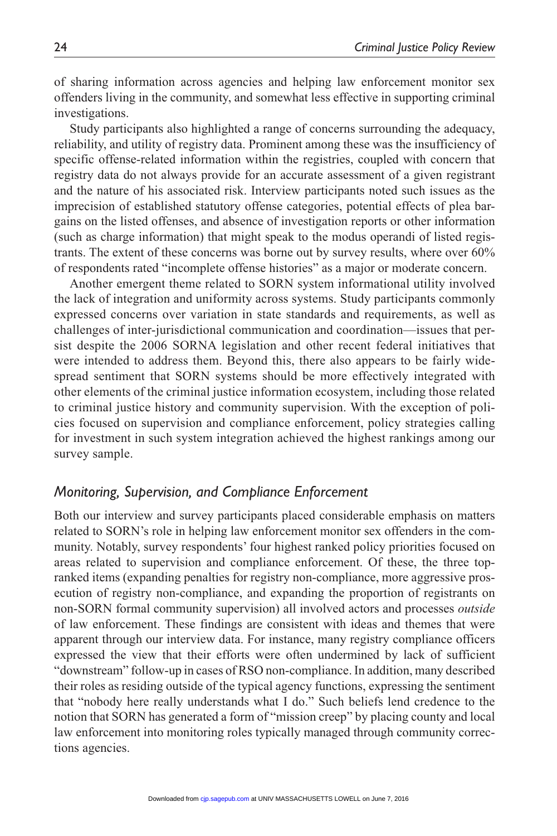of sharing information across agencies and helping law enforcement monitor sex offenders living in the community, and somewhat less effective in supporting criminal investigations.

Study participants also highlighted a range of concerns surrounding the adequacy, reliability, and utility of registry data. Prominent among these was the insufficiency of specific offense-related information within the registries, coupled with concern that registry data do not always provide for an accurate assessment of a given registrant and the nature of his associated risk. Interview participants noted such issues as the imprecision of established statutory offense categories, potential effects of plea bargains on the listed offenses, and absence of investigation reports or other information (such as charge information) that might speak to the modus operandi of listed registrants. The extent of these concerns was borne out by survey results, where over 60% of respondents rated "incomplete offense histories" as a major or moderate concern.

Another emergent theme related to SORN system informational utility involved the lack of integration and uniformity across systems. Study participants commonly expressed concerns over variation in state standards and requirements, as well as challenges of inter-jurisdictional communication and coordination—issues that persist despite the 2006 SORNA legislation and other recent federal initiatives that were intended to address them. Beyond this, there also appears to be fairly widespread sentiment that SORN systems should be more effectively integrated with other elements of the criminal justice information ecosystem, including those related to criminal justice history and community supervision. With the exception of policies focused on supervision and compliance enforcement, policy strategies calling for investment in such system integration achieved the highest rankings among our survey sample.

#### *Monitoring, Supervision, and Compliance Enforcement*

Both our interview and survey participants placed considerable emphasis on matters related to SORN's role in helping law enforcement monitor sex offenders in the community. Notably, survey respondents' four highest ranked policy priorities focused on areas related to supervision and compliance enforcement. Of these, the three topranked items (expanding penalties for registry non-compliance, more aggressive prosecution of registry non-compliance, and expanding the proportion of registrants on non-SORN formal community supervision) all involved actors and processes *outside* of law enforcement. These findings are consistent with ideas and themes that were apparent through our interview data. For instance, many registry compliance officers expressed the view that their efforts were often undermined by lack of sufficient "downstream" follow-up in cases of RSO non-compliance. In addition, many described their roles as residing outside of the typical agency functions, expressing the sentiment that "nobody here really understands what I do." Such beliefs lend credence to the notion that SORN has generated a form of "mission creep" by placing county and local law enforcement into monitoring roles typically managed through community corrections agencies.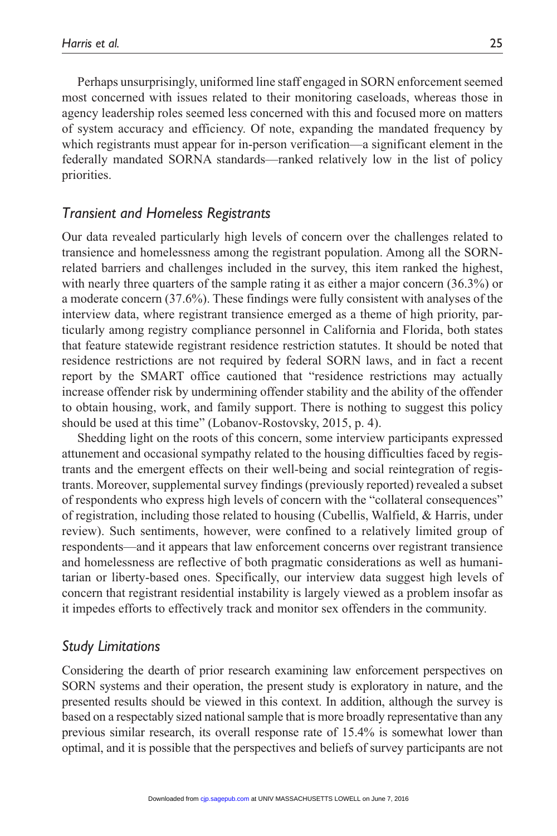Perhaps unsurprisingly, uniformed line staff engaged in SORN enforcement seemed most concerned with issues related to their monitoring caseloads, whereas those in agency leadership roles seemed less concerned with this and focused more on matters of system accuracy and efficiency. Of note, expanding the mandated frequency by which registrants must appear for in-person verification—a significant element in the federally mandated SORNA standards—ranked relatively low in the list of policy priorities.

## *Transient and Homeless Registrants*

Our data revealed particularly high levels of concern over the challenges related to transience and homelessness among the registrant population. Among all the SORNrelated barriers and challenges included in the survey, this item ranked the highest, with nearly three quarters of the sample rating it as either a major concern (36.3%) or a moderate concern (37.6%). These findings were fully consistent with analyses of the interview data, where registrant transience emerged as a theme of high priority, particularly among registry compliance personnel in California and Florida, both states that feature statewide registrant residence restriction statutes. It should be noted that residence restrictions are not required by federal SORN laws, and in fact a recent report by the SMART office cautioned that "residence restrictions may actually increase offender risk by undermining offender stability and the ability of the offender to obtain housing, work, and family support. There is nothing to suggest this policy should be used at this time" (Lobanov-Rostovsky, 2015, p. 4).

Shedding light on the roots of this concern, some interview participants expressed attunement and occasional sympathy related to the housing difficulties faced by registrants and the emergent effects on their well-being and social reintegration of registrants. Moreover, supplemental survey findings (previously reported) revealed a subset of respondents who express high levels of concern with the "collateral consequences" of registration, including those related to housing (Cubellis, Walfield, & Harris, under review). Such sentiments, however, were confined to a relatively limited group of respondents—and it appears that law enforcement concerns over registrant transience and homelessness are reflective of both pragmatic considerations as well as humanitarian or liberty-based ones. Specifically, our interview data suggest high levels of concern that registrant residential instability is largely viewed as a problem insofar as it impedes efforts to effectively track and monitor sex offenders in the community.

### *Study Limitations*

Considering the dearth of prior research examining law enforcement perspectives on SORN systems and their operation, the present study is exploratory in nature, and the presented results should be viewed in this context. In addition, although the survey is based on a respectably sized national sample that is more broadly representative than any previous similar research, its overall response rate of 15.4% is somewhat lower than optimal, and it is possible that the perspectives and beliefs of survey participants are not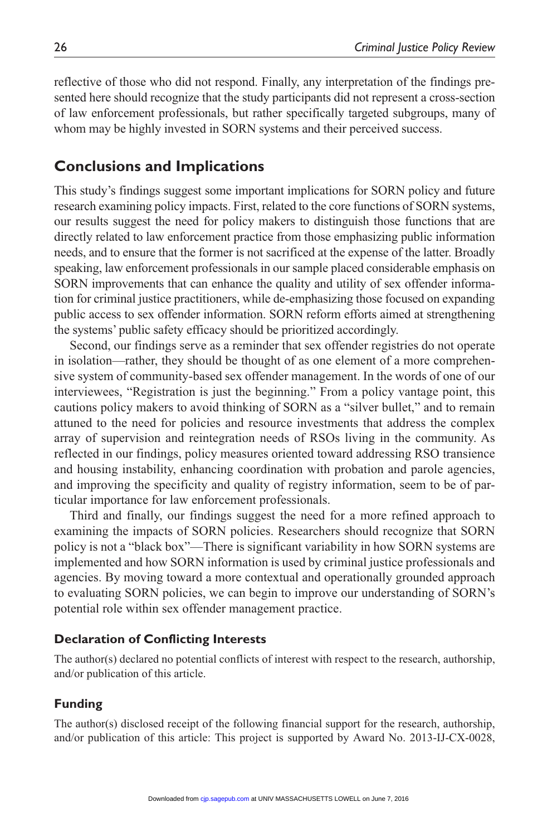reflective of those who did not respond. Finally, any interpretation of the findings presented here should recognize that the study participants did not represent a cross-section of law enforcement professionals, but rather specifically targeted subgroups, many of whom may be highly invested in SORN systems and their perceived success.

### **Conclusions and Implications**

This study's findings suggest some important implications for SORN policy and future research examining policy impacts. First, related to the core functions of SORN systems, our results suggest the need for policy makers to distinguish those functions that are directly related to law enforcement practice from those emphasizing public information needs, and to ensure that the former is not sacrificed at the expense of the latter. Broadly speaking, law enforcement professionals in our sample placed considerable emphasis on SORN improvements that can enhance the quality and utility of sex offender information for criminal justice practitioners, while de-emphasizing those focused on expanding public access to sex offender information. SORN reform efforts aimed at strengthening the systems' public safety efficacy should be prioritized accordingly.

Second, our findings serve as a reminder that sex offender registries do not operate in isolation—rather, they should be thought of as one element of a more comprehensive system of community-based sex offender management. In the words of one of our interviewees, "Registration is just the beginning." From a policy vantage point, this cautions policy makers to avoid thinking of SORN as a "silver bullet," and to remain attuned to the need for policies and resource investments that address the complex array of supervision and reintegration needs of RSOs living in the community. As reflected in our findings, policy measures oriented toward addressing RSO transience and housing instability, enhancing coordination with probation and parole agencies, and improving the specificity and quality of registry information, seem to be of particular importance for law enforcement professionals.

Third and finally, our findings suggest the need for a more refined approach to examining the impacts of SORN policies. Researchers should recognize that SORN policy is not a "black box"—There is significant variability in how SORN systems are implemented and how SORN information is used by criminal justice professionals and agencies. By moving toward a more contextual and operationally grounded approach to evaluating SORN policies, we can begin to improve our understanding of SORN's potential role within sex offender management practice.

#### **Declaration of Conflicting Interests**

The author(s) declared no potential conflicts of interest with respect to the research, authorship, and/or publication of this article.

#### **Funding**

The author(s) disclosed receipt of the following financial support for the research, authorship, and/or publication of this article: This project is supported by Award No. 2013-IJ-CX-0028,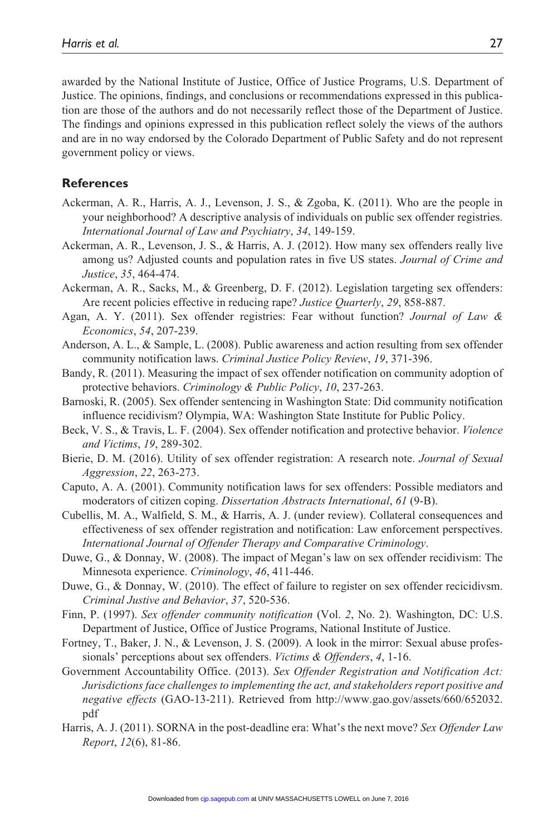awarded by the National Institute of Justice, Office of Justice Programs, U.S. Department of Justice. The opinions, findings, and conclusions or recommendations expressed in this publication are those of the authors and do not necessarily reflect those of the Department of Justice. The findings and opinions expressed in this publication reflect solely the views of the authors and are in no way endorsed by the Colorado Department of Public Safety and do not represent government policy or views.

#### **References**

- Ackerman, A. R., Harris, A. J., Levenson, J. S., & Zgoba, K. (2011). Who are the people in your neighborhood? A descriptive analysis of individuals on public sex offender registries. *International Journal of Law and Psychiatry*, *34*, 149-159.
- Ackerman, A. R., Levenson, J. S., & Harris, A. J. (2012). How many sex offenders really live among us? Adjusted counts and population rates in five US states. *Journal of Crime and Justice*, *35*, 464-474.
- Ackerman, A. R., Sacks, M., & Greenberg, D. F. (2012). Legislation targeting sex offenders: Are recent policies effective in reducing rape? *Justice Quarterly*, *29*, 858-887.
- Agan, A. Y. (2011). Sex offender registries: Fear without function? *Journal of Law & Economics*, *54*, 207-239.
- Anderson, A. L., & Sample, L. (2008). Public awareness and action resulting from sex offender community notification laws. *Criminal Justice Policy Review*, *19*, 371-396.
- Bandy, R. (2011). Measuring the impact of sex offender notification on community adoption of protective behaviors. *Criminology & Public Policy*, *10*, 237-263.
- Barnoski, R. (2005). Sex offender sentencing in Washington State: Did community notification influence recidivism? Olympia, WA: Washington State Institute for Public Policy.
- Beck, V. S., & Travis, L. F. (2004). Sex offender notification and protective behavior. *Violence and Victims*, *19*, 289-302.
- Bierie, D. M. (2016). Utility of sex offender registration: A research note. *Journal of Sexual Aggression*, *22*, 263-273.
- Caputo, A. A. (2001). Community notification laws for sex offenders: Possible mediators and moderators of citizen coping. *Dissertation Abstracts International*, *61* (9-B).
- Cubellis, M. A., Walfield, S. M., & Harris, A. J. (under review). Collateral consequences and effectiveness of sex offender registration and notification: Law enforcement perspectives. *International Journal of Offender Therapy and Comparative Criminology*.
- Duwe, G., & Donnay, W. (2008). The impact of Megan's law on sex offender recidivism: The Minnesota experience. *Criminology*, *46*, 411-446.
- Duwe, G., & Donnay, W. (2010). The effect of failure to register on sex offender recicidivsm. *Criminal Justive and Behavior*, *37*, 520-536.
- Finn, P. (1997). *Sex offender community notification* (Vol. *2*, No. 2). Washington, DC: U.S. Department of Justice, Office of Justice Programs, National Institute of Justice.
- Fortney, T., Baker, J. N., & Levenson, J. S. (2009). A look in the mirror: Sexual abuse professionals' perceptions about sex offenders. *Victims & Offenders*, *4*, 1-16.
- Government Accountability Office. (2013). *Sex Offender Registration and Notification Act: Jurisdictions face challenges to implementing the act, and stakeholders report positive and negative effects* (GAO-13-211). Retrieved from [http://www.gao.gov/assets/660/652032.](http://www.gao.gov/assets/660/652032.pdf) [pdf](http://www.gao.gov/assets/660/652032.pdf)
- Harris, A. J. (2011). SORNA in the post-deadline era: What's the next move? *Sex Offender Law Report*, *12*(6), 81-86.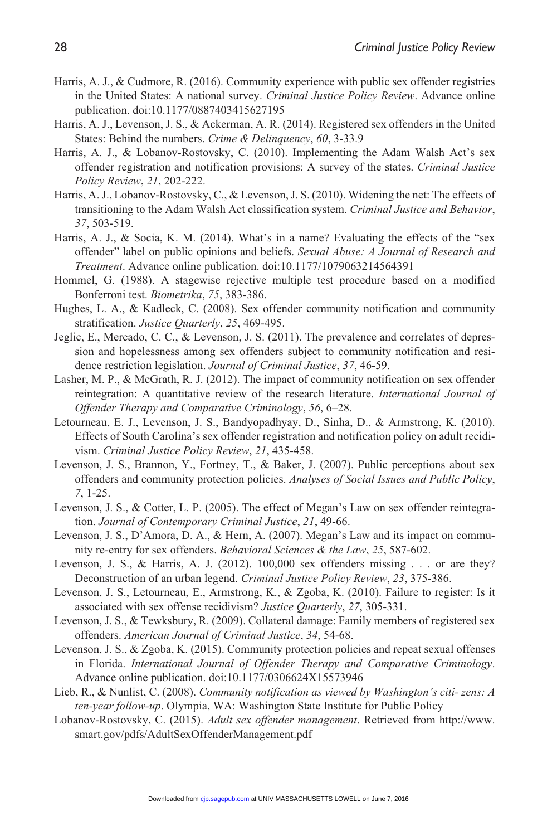- Harris, A. J., & Cudmore, R. (2016). Community experience with public sex offender registries in the United States: A national survey. *Criminal Justice Policy Review*. Advance online publication. doi:10.1177/0887403415627195
- Harris, A. J., Levenson, J. S., & Ackerman, A. R. (2014). Registered sex offenders in the United States: Behind the numbers. *Crime & Delinquency*, *60*, 3-33.9
- Harris, A. J., & Lobanov-Rostovsky, C. (2010). Implementing the Adam Walsh Act's sex offender registration and notification provisions: A survey of the states. *Criminal Justice Policy Review*, *21*, 202-222.
- Harris, A. J., Lobanov-Rostovsky, C., & Levenson, J. S. (2010). Widening the net: The effects of transitioning to the Adam Walsh Act classification system. *Criminal Justice and Behavior*, *37*, 503-519.
- Harris, A. J., & Socia, K. M. (2014). What's in a name? Evaluating the effects of the "sex offender" label on public opinions and beliefs. *Sexual Abuse: A Journal of Research and Treatment*. Advance online publication. doi:10.1177/1079063214564391
- Hommel, G. (1988). A stagewise rejective multiple test procedure based on a modified Bonferroni test. *Biometrika*, *75*, 383-386.
- Hughes, L. A., & Kadleck, C. (2008). Sex offender community notification and community stratification. *Justice Quarterly*, *25*, 469-495.
- Jeglic, E., Mercado, C. C., & Levenson, J. S. (2011). The prevalence and correlates of depression and hopelessness among sex offenders subject to community notification and residence restriction legislation. *Journal of Criminal Justice*, *37*, 46-59.
- Lasher, M. P., & McGrath, R. J. (2012). The impact of community notification on sex offender reintegration: A quantitative review of the research literature. *International Journal of Offender Therapy and Comparative Criminology*, *56*, 6–28.
- Letourneau, E. J., Levenson, J. S., Bandyopadhyay, D., Sinha, D., & Armstrong, K. (2010). Effects of South Carolina's sex offender registration and notification policy on adult recidivism. *Criminal Justice Policy Review*, *21*, 435-458.
- Levenson, J. S., Brannon, Y., Fortney, T., & Baker, J. (2007). Public perceptions about sex offenders and community protection policies. *Analyses of Social Issues and Public Policy*, *7*, 1-25.
- Levenson, J. S., & Cotter, L. P. (2005). The effect of Megan's Law on sex offender reintegration. *Journal of Contemporary Criminal Justice*, *21*, 49-66.
- Levenson, J. S., D'Amora, D. A., & Hern, A. (2007). Megan's Law and its impact on community re-entry for sex offenders. *Behavioral Sciences & the Law*, *25*, 587-602.
- Levenson, J. S., & Harris, A. J. (2012). 100,000 sex offenders missing . . . or are they? Deconstruction of an urban legend. *Criminal Justice Policy Review*, *23*, 375-386.
- Levenson, J. S., Letourneau, E., Armstrong, K., & Zgoba, K. (2010). Failure to register: Is it associated with sex offense recidivism? *Justice Quarterly*, *27*, 305-331.
- Levenson, J. S., & Tewksbury, R. (2009). Collateral damage: Family members of registered sex offenders. *American Journal of Criminal Justice*, *34*, 54-68.
- Levenson, J. S., & Zgoba, K. (2015). Community protection policies and repeat sexual offenses in Florida. *International Journal of Offender Therapy and Comparative Criminology*. Advance online publication. doi:10.1177/0306624X15573946
- Lieb, R., & Nunlist, C. (2008). *Community notification as viewed by Washington's citi- zens: A ten-year follow-up*. Olympia, WA: Washington State Institute for Public Policy
- Lobanov-Rostovsky, C. (2015). *Adult sex offender management*. Retrieved from [http://www.](http://www.smart.gov/pdfs/AdultSexOffenderManagement.pdf) [smart.gov/pdfs/AdultSexOffenderManagement.pdf](http://www.smart.gov/pdfs/AdultSexOffenderManagement.pdf)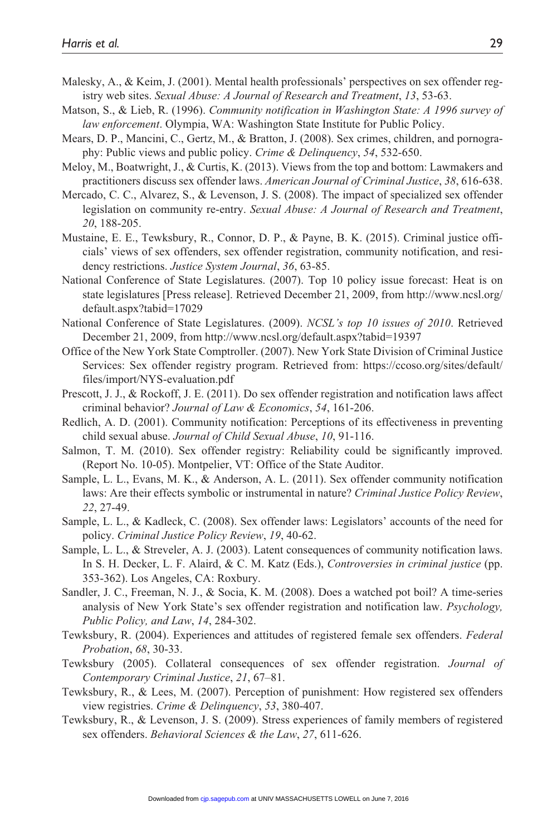- Malesky, A., & Keim, J. (2001). Mental health professionals' perspectives on sex offender registry web sites. *Sexual Abuse: A Journal of Research and Treatment*, *13*, 53-63.
- Matson, S., & Lieb, R. (1996). *Community notification in Washington State: A 1996 survey of law enforcement*. Olympia, WA: Washington State Institute for Public Policy.
- Mears, D. P., Mancini, C., Gertz, M., & Bratton, J. (2008). Sex crimes, children, and pornography: Public views and public policy. *Crime & Delinquency*, *54*, 532-650.
- Meloy, M., Boatwright, J., & Curtis, K. (2013). Views from the top and bottom: Lawmakers and practitioners discuss sex offender laws. *American Journal of Criminal Justice*, *38*, 616-638.
- Mercado, C. C., Alvarez, S., & Levenson, J. S. (2008). The impact of specialized sex offender legislation on community re-entry. *Sexual Abuse: A Journal of Research and Treatment*, *20*, 188-205.
- Mustaine, E. E., Tewksbury, R., Connor, D. P., & Payne, B. K. (2015). Criminal justice officials' views of sex offenders, sex offender registration, community notification, and residency restrictions. *Justice System Journal*, *36*, 63-85.
- National Conference of State Legislatures. (2007). Top 10 policy issue forecast: Heat is on state legislatures [Press release]. Retrieved December 21, 2009, from [http://www.ncsl.org/](http://www.ncsl.org/default.aspx?tabid=17029) [default.aspx?tabid=17029](http://www.ncsl.org/default.aspx?tabid=17029)
- National Conference of State Legislatures. (2009). *NCSL's top 10 issues of 2010*. Retrieved December 21, 2009, from <http://www.ncsl.org/default.aspx?tabid=19397>
- Office of the New York State Comptroller. (2007). New York State Division of Criminal Justice Services: Sex offender registry program. Retrieved from: [https://ccoso.org/sites/default/](https://ccoso.org/sites/default/files/import/NYS-evaluation.pdf) [files/import/NYS-evaluation.pdf](https://ccoso.org/sites/default/files/import/NYS-evaluation.pdf)
- Prescott, J. J., & Rockoff, J. E. (2011). Do sex offender registration and notification laws affect criminal behavior? *Journal of Law & Economics*, *54*, 161-206.
- Redlich, A. D. (2001). Community notification: Perceptions of its effectiveness in preventing child sexual abuse. *Journal of Child Sexual Abuse*, *10*, 91-116.
- Salmon, T. M. (2010). Sex offender registry: Reliability could be significantly improved. (Report No. 10-05). Montpelier, VT: Office of the State Auditor.
- Sample, L. L., Evans, M. K., & Anderson, A. L. (2011). Sex offender community notification laws: Are their effects symbolic or instrumental in nature? *Criminal Justice Policy Review*, *22*, 27-49.
- Sample, L. L., & Kadleck, C. (2008). Sex offender laws: Legislators' accounts of the need for policy. *Criminal Justice Policy Review*, *19*, 40-62.
- Sample, L. L., & Streveler, A. J. (2003). Latent consequences of community notification laws. In S. H. Decker, L. F. Alaird, & C. M. Katz (Eds.), *Controversies in criminal justice* (pp. 353-362). Los Angeles, CA: Roxbury.
- Sandler, J. C., Freeman, N. J., & Socia, K. M. (2008). Does a watched pot boil? A time-series analysis of New York State's sex offender registration and notification law. *Psychology, Public Policy, and Law*, *14*, 284-302.
- Tewksbury, R. (2004). Experiences and attitudes of registered female sex offenders. *Federal Probation*, *68*, 30-33.
- Tewksbury (2005). Collateral consequences of sex offender registration. *Journal of Contemporary Criminal Justice*, *21*, 67–81.
- Tewksbury, R., & Lees, M. (2007). Perception of punishment: How registered sex offenders view registries. *Crime & Delinquency*, *53*, 380-407.
- Tewksbury, R., & Levenson, J. S. (2009). Stress experiences of family members of registered sex offenders. *Behavioral Sciences & the Law*, *27*, 611-626.